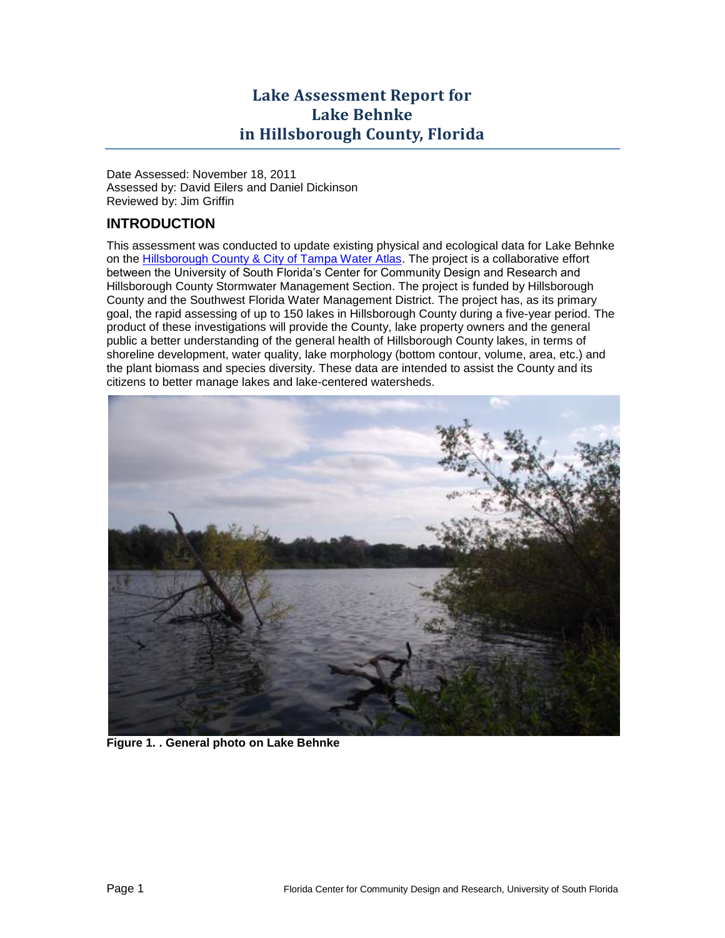# **Lake Assessment Report for Lake Behnke in Hillsborough County, Florida**

Date Assessed: November 18, 2011 Assessed by: David Eilers and Daniel Dickinson Reviewed by: Jim Griffin

## **INTRODUCTION**

This assessment was conducted to update existing physical and ecological data for Lake Behnke on the [Hillsborough County & City of Tampa Water Atlas.](http://www.hillsborough.wateratlas.usf.edu/TopicDetails.aspx?TopicID=65) The project is a collaborative effort between the University of South Florida's Center for Community Design and Research and Hillsborough County Stormwater Management Section. The project is funded by Hillsborough County and the Southwest Florida Water Management District. The project has, as its primary goal, the rapid assessing of up to 150 lakes in Hillsborough County during a five-year period. The product of these investigations will provide the County, lake property owners and the general public a better understanding of the general health of Hillsborough County lakes, in terms of shoreline development, water quality, lake morphology (bottom contour, volume, area, etc.) and the plant biomass and species diversity. These data are intended to assist the County and its citizens to better manage lakes and lake-centered watersheds.



**Figure 1. . General photo on Lake Behnke**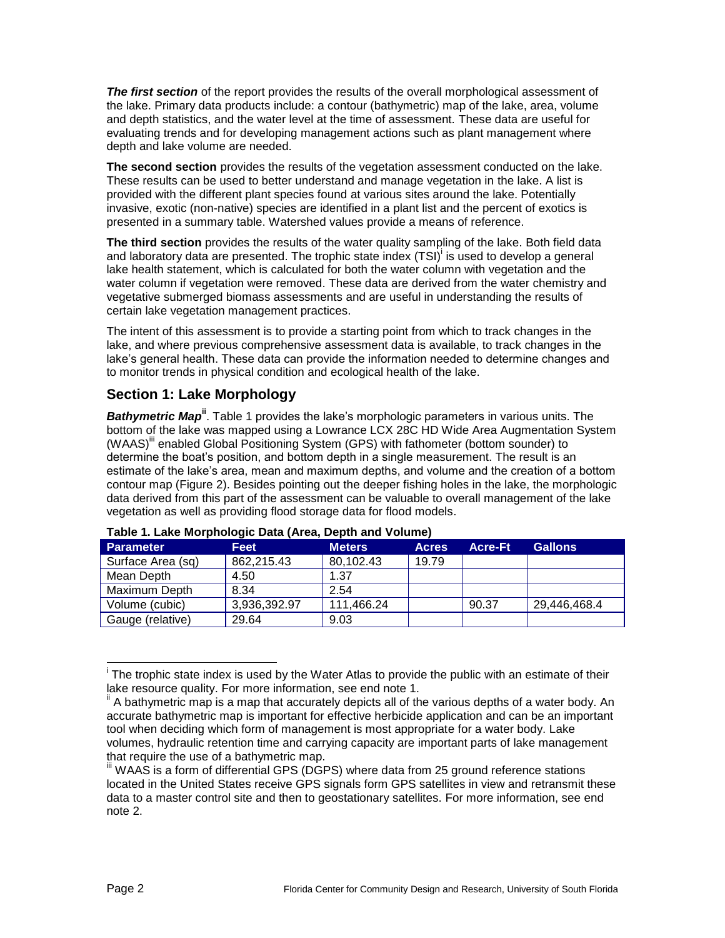*The first section* of the report provides the results of the overall morphological assessment of the lake. Primary data products include: a contour (bathymetric) map of the lake, area, volume and depth statistics, and the water level at the time of assessment. These data are useful for evaluating trends and for developing management actions such as plant management where depth and lake volume are needed.

**The second section** provides the results of the vegetation assessment conducted on the lake. These results can be used to better understand and manage vegetation in the lake. A list is provided with the different plant species found at various sites around the lake. Potentially invasive, exotic (non-native) species are identified in a plant list and the percent of exotics is presented in a summary table. Watershed values provide a means of reference.

<span id="page-1-1"></span>**The third section** provides the results of the water quality sampling of the lake. Both field data and laboratory data are presented. The trophic state index (TSI)<sup>i</sup> is used to develop a general lake health statement, which is calculated for both the water column with vegetation and the water column if vegetation were removed. These data are derived from the water chemistry and vegetative submerged biomass assessments and are useful in understanding the results of certain lake vegetation management practices.

The intent of this assessment is to provide a starting point from which to track changes in the lake, and where previous comprehensive assessment data is available, to track changes in the lake's general health. These data can provide the information needed to determine changes and to monitor trends in physical condition and ecological health of the lake.

## **Section 1: Lake Morphology**

**Bathymetric Map<sup>ii</sup>**. [Table 1](#page-1-0) provides the lake's morphologic parameters in various units. The bottom of the lake was mapped using a Lowrance LCX 28C HD Wide Area Augmentation System (WAAS)<sup>iii</sup> enabled Global Positioning System (GPS) with fathometer (bottom sounder) to determine the boat's position, and bottom depth in a single measurement. The result is an estimate of the lake's area, mean and maximum depths, and volume and the creation of a bottom contour map [\(Figure 2\)](#page-2-0). Besides pointing out the deeper fishing holes in the lake, the morphologic data derived from this part of the assessment can be valuable to overall management of the lake vegetation as well as providing flood storage data for flood models.

| <b>Parameter</b>  | <b>Feet</b>  | <b>Meters</b> | <b>Acres</b> | <b>Acre-Ft</b> | <b>Gallons</b> |  |  |
|-------------------|--------------|---------------|--------------|----------------|----------------|--|--|
| Surface Area (sq) | 862,215.43   | 80,102.43     | 19.79        |                |                |  |  |
| Mean Depth        | 4.50         | 1.37          |              |                |                |  |  |
| Maximum Depth     | 8.34         | 2.54          |              |                |                |  |  |
| Volume (cubic)    | 3,936,392.97 | 111,466.24    |              | 90.37          | 29,446,468.4   |  |  |
| Gauge (relative)  | 29.64        | 9.03          |              |                |                |  |  |

#### <span id="page-1-0"></span>**Table 1. Lake Morphologic Data (Area, Depth and Volume)**

 $\overline{a}$ <sup>i</sup> The trophic state index is used by the Water Atlas to provide the public with an estimate of their lake resource quality. For more information, see end note 1.

A bathymetric map is a map that accurately depicts all of the various depths of a water body. An accurate bathymetric map is important for effective herbicide application and can be an important tool when deciding which form of management is most appropriate for a water body. Lake volumes, hydraulic retention time and carrying capacity are important parts of lake management that require the use of a bathymetric map.

III WAAS is a form of differential GPS (DGPS) where data from 25 ground reference stations located in the United States receive GPS signals form GPS satellites in view and retransmit these data to a master control site and then to geostationary satellites. For more information, see end note 2.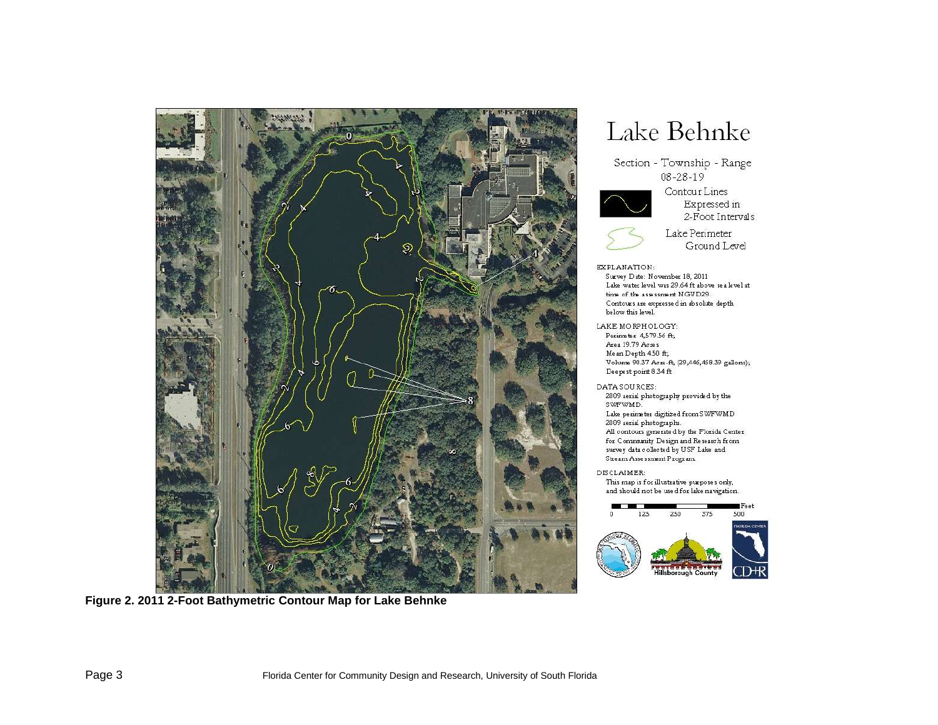

**Figure 2. 2011 2-Foot Bathymetric Contour Map for Lake Behnke**

# Lake Behnke

Section - Township - Range 08-28-19



Contour Lines Expressed in 2-Foot Intervals



Lake Perimeter Ground Level

EXPLANATION:

Survey Date: November 18, 2011 Lake water level was 29.64 ft above sea level at time of the assessment NGVD29. Contours are expressed in absolute depth below this level.

LAKE MORPHOLOGY:

Perimeter 4,579.56 ft; Area 19.79 Acres Me an Depth 4.50 ft; Volume 90.37 Acre-ft, (29,446,468.39 gallons); Deepest point 8.34 ft

DATA SOURCES: 2009 serial photography provided by the SWFWMD.

Lake perimeter digitized from SWFWMD 2009 aerial photographs. All contours generated by the Florida Center for Community Design and Research from survey data collected by USF Lake and Stream Assessment Program

DISCLAIMER:

This map is for illustrative purposes only, and should not be used for lake navigation.

<span id="page-2-0"></span>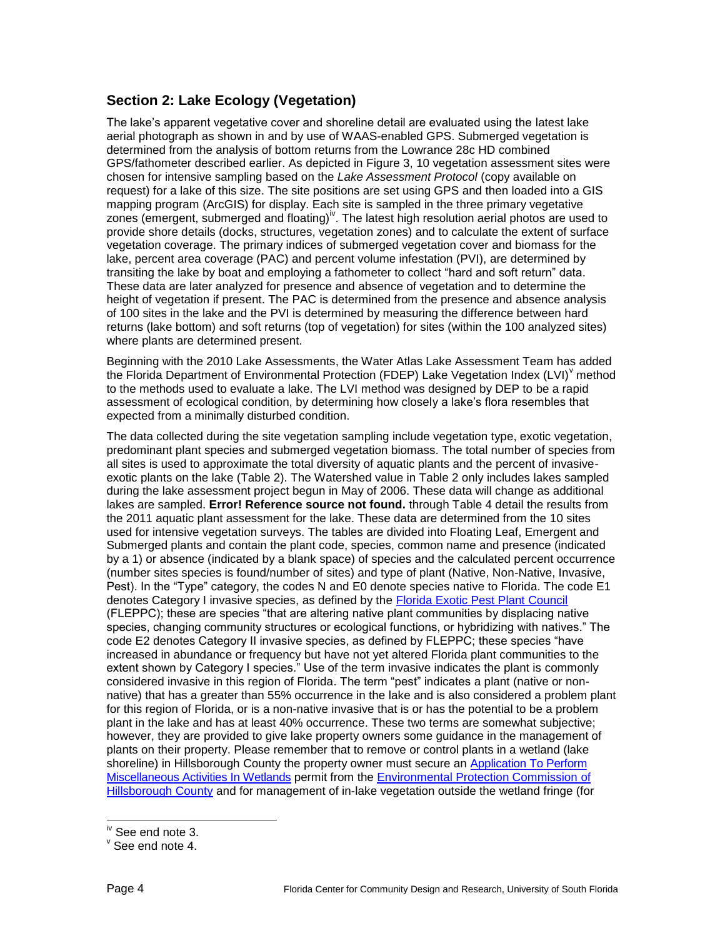## **Section 2: Lake Ecology (Vegetation)**

The lake's apparent vegetative cover and shoreline detail are evaluated using the latest lake aerial photograph as shown in and by use of WAAS-enabled GPS. Submerged vegetation is determined from the analysis of bottom returns from the Lowrance 28c HD combined GPS/fathometer described earlier. As depicted in [Figure 3,](#page-5-0) 10 vegetation assessment sites were chosen for intensive sampling based on the *Lake Assessment Protocol* (copy available on request) for a lake of this size. The site positions are set using GPS and then loaded into a GIS mapping program (ArcGIS) for display. Each site is sampled in the three primary vegetative zones (emergent, submerged and floating)<sup>iv</sup>. The latest high resolution aerial photos are used to provide shore details (docks, structures, vegetation zones) and to calculate the extent of surface vegetation coverage. The primary indices of submerged vegetation cover and biomass for the lake, percent area coverage (PAC) and percent volume infestation (PVI), are determined by transiting the lake by boat and employing a fathometer to collect "hard and soft return" data. These data are later analyzed for presence and absence of vegetation and to determine the height of vegetation if present. The PAC is determined from the presence and absence analysis of 100 sites in the lake and the PVI is determined by measuring the difference between hard returns (lake bottom) and soft returns (top of vegetation) for sites (within the 100 analyzed sites) where plants are determined present.

Beginning with the 2010 Lake Assessments, the Water Atlas Lake Assessment Team has added the Florida Department of Environmental Protection (FDEP) Lake Vegetation Index (LVI)<sup>V</sup> method to the methods used to evaluate a lake. The LVI method was designed by DEP to be a rapid assessment of ecological condition, by determining how closely a lake's flora resembles that expected from a minimally disturbed condition.

The data collected during the site vegetation sampling include vegetation type, exotic vegetation, predominant plant species and submerged vegetation biomass. The total number of species from all sites is used to approximate the total diversity of aquatic plants and the percent of invasiveexotic plants on the lake [\(Table 2\)](#page-4-0). The Watershed value in Table 2 only includes lakes sampled during the lake assessment project begun in May of 2006. These data will change as additional lakes are sampled. **Error! Reference source not found.** through [Table 4](#page-10-0) detail the results from the 2011 aquatic plant assessment for the lake. These data are determined from the 10 sites used for intensive vegetation surveys. The tables are divided into Floating Leaf, Emergent and Submerged plants and contain the plant code, species, common name and presence (indicated by a 1) or absence (indicated by a blank space) of species and the calculated percent occurrence (number sites species is found/number of sites) and type of plant (Native, Non-Native, Invasive, Pest). In the "Type" category, the codes N and E0 denote species native to Florida. The code E1 denotes Category I invasive species, as defined by the [Florida Exotic Pest Plant Council](http://www.fleppc.org/) (FLEPPC); these are species "that are altering native plant communities by displacing native species, changing community structures or ecological functions, or hybridizing with natives." The code E2 denotes Category II invasive species, as defined by FLEPPC; these species "have increased in abundance or frequency but have not yet altered Florida plant communities to the extent shown by Category I species." Use of the term invasive indicates the plant is commonly considered invasive in this region of Florida. The term "pest" indicates a plant (native or nonnative) that has a greater than 55% occurrence in the lake and is also considered a problem plant for this region of Florida, or is a non-native invasive that is or has the potential to be a problem plant in the lake and has at least 40% occurrence. These two terms are somewhat subjective; however, they are provided to give lake property owners some guidance in the management of plants on their property. Please remember that to remove or control plants in a wetland (lake shoreline) in Hillsborough County the property owner must secure an Application To Perform [Miscellaneous Activities In Wetlands](http://www.epchc.org/Wetlands/MAIW20-MiscActivites.pdf) permit from the [Environmental Protection Commission](http://epchc.org/) of [Hillsborough County](http://epchc.org/) and for management of in-lake vegetation outside the wetland fringe (for

 $\overline{a}$ 

<sup>&</sup>lt;sup>iv</sup> See end note 3.

 $\mathrm{v}$  See end note 4.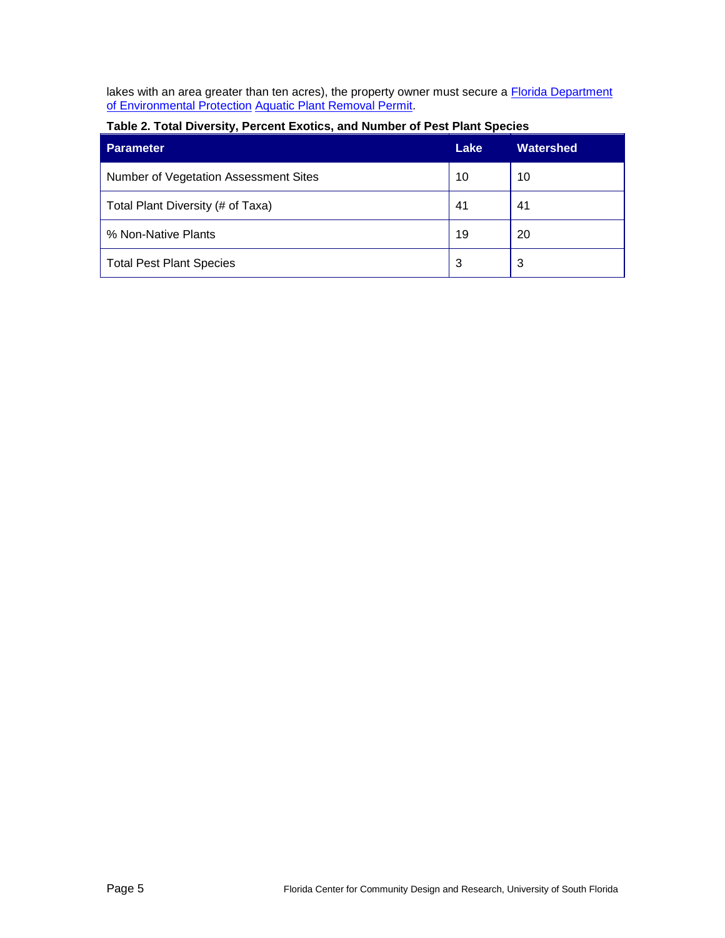lakes with an area greater than ten acres), the property owner must secure a Florida Department [of Environmental Protection](http://www.dep.state.fl.us/) [Aquatic Plant Removal Permit.](http://www.myfwc.com/License/Index.htm)

| <b>Parameter</b>                      | Lake | <b>Watershed</b> |
|---------------------------------------|------|------------------|
| Number of Vegetation Assessment Sites | 10   | 10               |
| Total Plant Diversity (# of Taxa)     | 41   | 41               |
| % Non-Native Plants                   | 19   | 20               |
| <b>Total Pest Plant Species</b>       | 3    | 3                |

#### <span id="page-4-0"></span>**Table 2. Total Diversity, Percent Exotics, and Number of Pest Plant Species**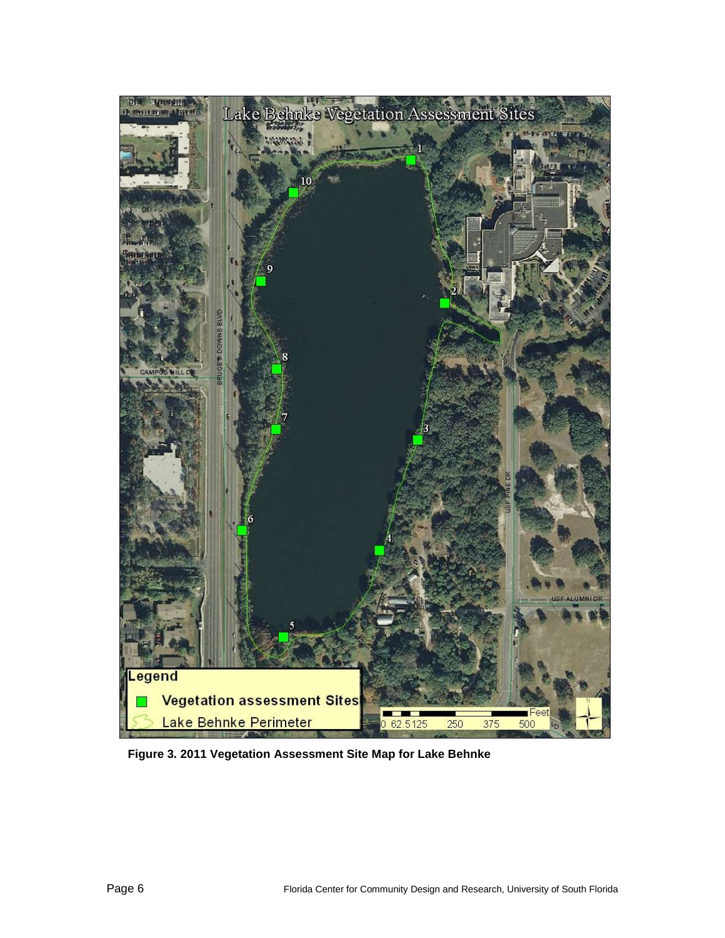<span id="page-5-0"></span>

**Figure 3. 2011 Vegetation Assessment Site Map for Lake Behnke**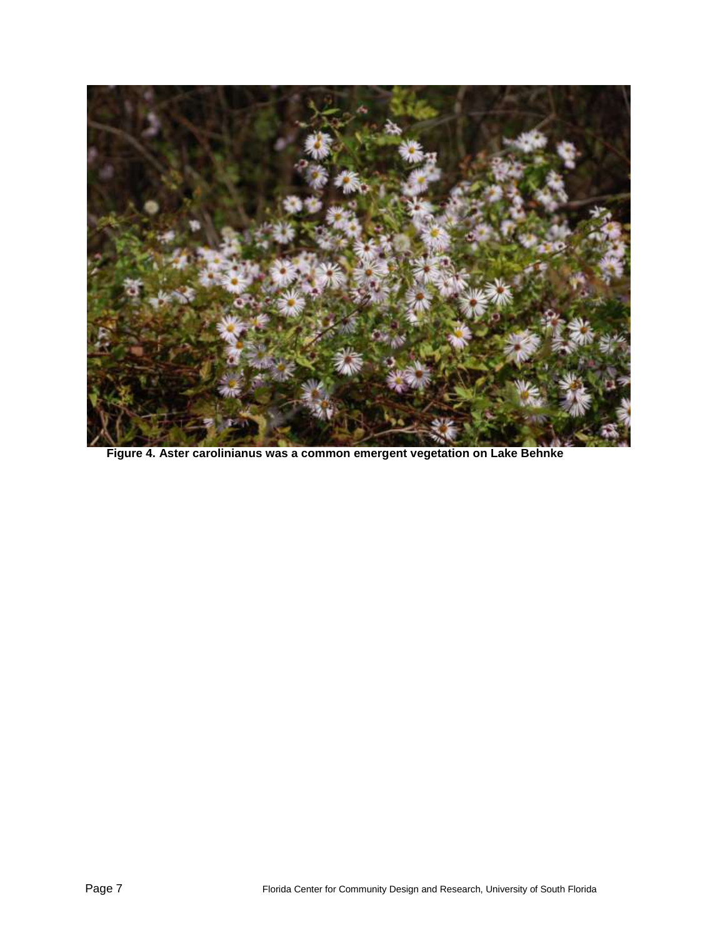

**Figure 4. Aster carolinianus was a common emergent vegetation on Lake Behnke**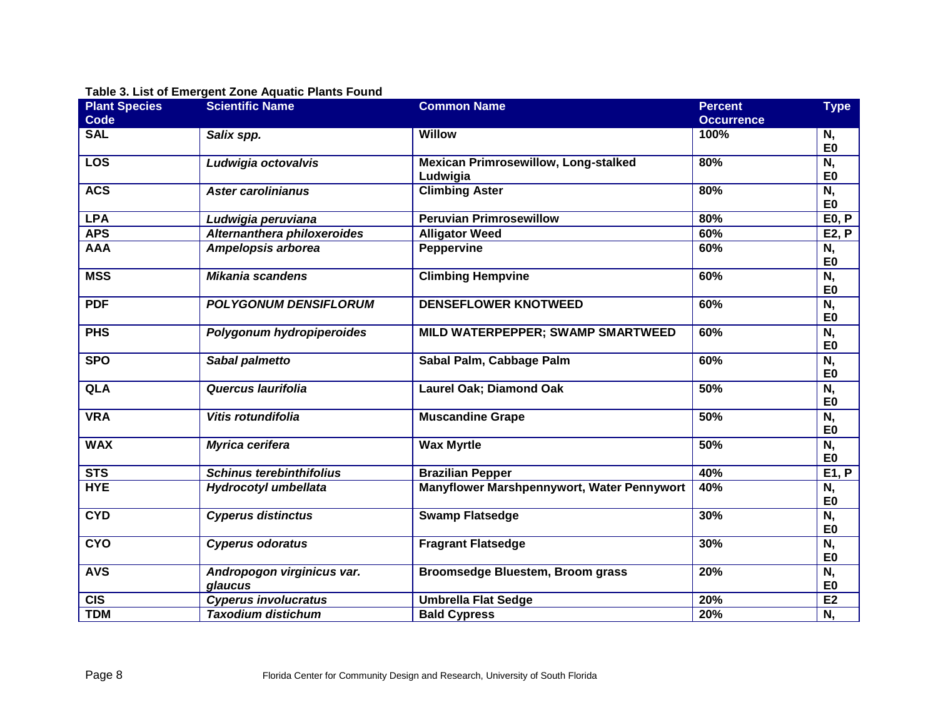#### **Table 3. List of Emergent Zone Aquatic Plants Found**

| <b>Plant Species</b> | <b>Scientific Name</b>                | <b>Common Name</b>                                      | <b>Percent</b>    | <b>Type</b>                                |
|----------------------|---------------------------------------|---------------------------------------------------------|-------------------|--------------------------------------------|
| <b>Code</b>          |                                       |                                                         | <b>Occurrence</b> |                                            |
| <b>SAL</b>           | Salix spp.                            | <b>Willow</b>                                           | 100%              | N,<br>E <sub>0</sub>                       |
| <b>LOS</b>           | Ludwigia octovalvis                   | <b>Mexican Primrosewillow, Long-stalked</b><br>Ludwigia | 80%               | N,<br>E <sub>0</sub>                       |
| <b>ACS</b>           | <b>Aster carolinianus</b>             | <b>Climbing Aster</b>                                   | 80%               | N,<br>E <sub>0</sub>                       |
| <b>LPA</b>           | Ludwigia peruviana                    | <b>Peruvian Primrosewillow</b>                          | 80%               | E0, P                                      |
| <b>APS</b>           | Alternanthera philoxeroides           | <b>Alligator Weed</b>                                   | 60%               | <b>E2, P</b>                               |
| <b>AAA</b>           | Ampelopsis arborea                    | <b>Peppervine</b>                                       | 60%               | N,<br>E <sub>0</sub>                       |
| <b>MSS</b>           | <b>Mikania scandens</b>               | <b>Climbing Hempvine</b>                                | 60%               | N,<br>E <sub>0</sub>                       |
| <b>PDF</b>           | <b>POLYGONUM DENSIFLORUM</b>          | <b>DENSEFLOWER KNOTWEED</b>                             | 60%               | N,<br>E <sub>0</sub>                       |
| <b>PHS</b>           | Polygonum hydropiperoides             | MILD WATERPEPPER; SWAMP SMARTWEED                       | 60%               | N,<br>E <sub>0</sub>                       |
| <b>SPO</b>           | Sabal palmetto                        | Sabal Palm, Cabbage Palm                                | 60%               | N,<br>E <sub>0</sub>                       |
| <b>QLA</b>           | Quercus laurifolia                    | Laurel Oak; Diamond Oak                                 | 50%               | N,<br>E <sub>0</sub>                       |
| <b>VRA</b>           | Vitis rotundifolia                    | <b>Muscandine Grape</b>                                 | 50%               | N,<br>E <sub>0</sub>                       |
| <b>WAX</b>           | <b>Myrica cerifera</b>                | <b>Wax Myrtle</b>                                       | 50%               | N,<br>E <sub>0</sub>                       |
| STS                  | <b>Schinus terebinthifolius</b>       | <b>Brazilian Pepper</b>                                 | 40%               | E1, P                                      |
| <b>HYE</b>           | Hydrocotyl umbellata                  | Manyflower Marshpennywort, Water Pennywort              | 40%               | N,<br>E <sub>0</sub>                       |
| <b>CYD</b>           | <b>Cyperus distinctus</b>             | <b>Swamp Flatsedge</b>                                  | 30%               | N,<br>E <sub>0</sub>                       |
| <b>CYO</b>           | <b>Cyperus odoratus</b>               | <b>Fragrant Flatsedge</b>                               | 30%               | $\overline{\mathsf{N},}$<br>E <sub>0</sub> |
| <b>AVS</b>           | Andropogon virginicus var.<br>glaucus | <b>Broomsedge Bluestem, Broom grass</b>                 | 20%               | N,<br>E <sub>0</sub>                       |
| <b>CIS</b>           | <b>Cyperus involucratus</b>           | <b>Umbrella Flat Sedge</b>                              | 20%               | E <sub>2</sub>                             |
| <b>TDM</b>           | <b>Taxodium distichum</b>             | <b>Bald Cypress</b>                                     | 20%               | N,                                         |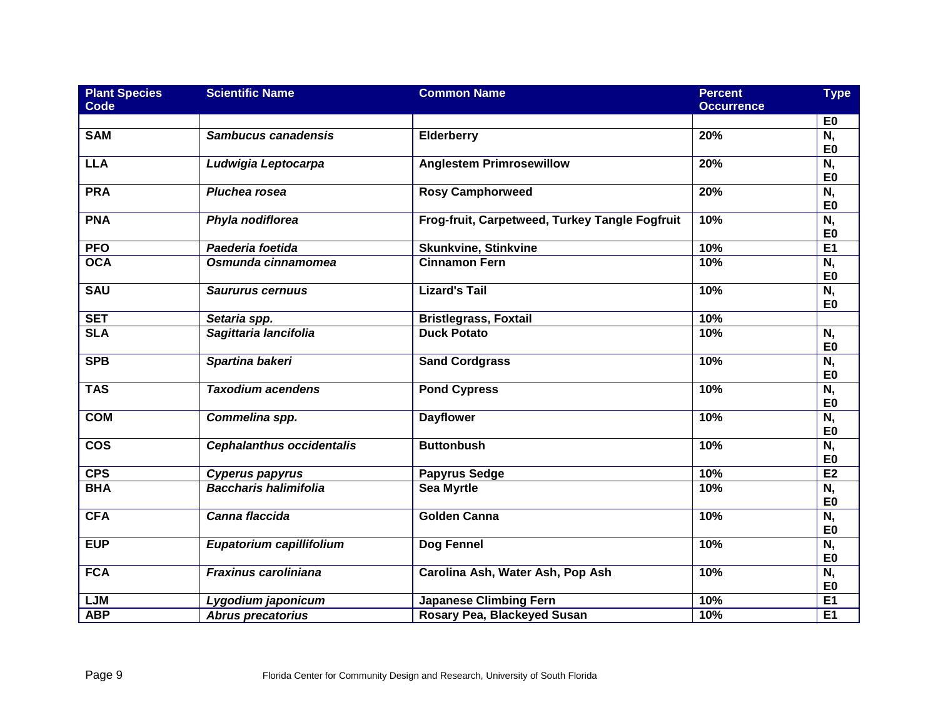| <b>Plant Species</b><br><b>Code</b> | <b>Scientific Name</b>           | <b>Common Name</b>                             | <b>Percent</b><br><b>Occurrence</b> | <b>Type</b>                                |
|-------------------------------------|----------------------------------|------------------------------------------------|-------------------------------------|--------------------------------------------|
|                                     |                                  |                                                |                                     | E <sub>0</sub>                             |
| <b>SAM</b>                          | Sambucus canadensis              | Elderberry                                     | 20%                                 | N,<br>E <sub>0</sub>                       |
| <b>LLA</b>                          | Ludwigia Leptocarpa              | <b>Anglestem Primrosewillow</b>                | 20%                                 | N,<br>E <sub>0</sub>                       |
| <b>PRA</b>                          | Pluchea rosea                    | <b>Rosy Camphorweed</b>                        | 20%                                 | $\overline{\mathsf{N},}$<br>E <sub>0</sub> |
| <b>PNA</b>                          | Phyla nodiflorea                 | Frog-fruit, Carpetweed, Turkey Tangle Fogfruit | 10%                                 | N,<br>E <sub>0</sub>                       |
| <b>PFO</b>                          | Paederia foetida                 | <b>Skunkvine, Stinkvine</b>                    | 10%                                 | E1                                         |
| <b>OCA</b>                          | Osmunda cinnamomea               | <b>Cinnamon Fern</b>                           | 10%                                 | $\overline{\mathsf{N},}$<br>E <sub>0</sub> |
| <b>SAU</b>                          | <b>Saururus cernuus</b>          | <b>Lizard's Tail</b>                           | 10%                                 | N,<br>E <sub>0</sub>                       |
| <b>SET</b>                          | Setaria spp.                     | <b>Bristlegrass, Foxtail</b>                   | 10%                                 |                                            |
| <b>SLA</b>                          | Sagittaria lancifolia            | <b>Duck Potato</b>                             | 10%                                 | N,<br>E <sub>0</sub>                       |
| <b>SPB</b>                          | Spartina bakeri                  | <b>Sand Cordgrass</b>                          | 10%                                 | N,<br>E <sub>0</sub>                       |
| <b>TAS</b>                          | <b>Taxodium acendens</b>         | <b>Pond Cypress</b>                            | 10%                                 | $\overline{\mathsf{N},}$<br>E <sub>0</sub> |
| <b>COM</b>                          | Commelina spp.                   | <b>Dayflower</b>                               | 10%                                 | $\overline{\mathsf{N},}$<br>E <sub>0</sub> |
| $\overline{\cos}$                   | <b>Cephalanthus occidentalis</b> | <b>Buttonbush</b>                              | 10%                                 | N,<br>E <sub>0</sub>                       |
| <b>CPS</b>                          | <b>Cyperus papyrus</b>           | <b>Papyrus Sedge</b>                           | 10%                                 | E2                                         |
| <b>BHA</b>                          | <b>Baccharis halimifolia</b>     | <b>Sea Myrtle</b>                              | 10%                                 | N,<br>E <sub>0</sub>                       |
| CFA                                 | Canna flaccida                   | <b>Golden Canna</b>                            | 10%                                 | N,<br>E <sub>0</sub>                       |
| <b>EUP</b>                          | Eupatorium capillifolium         | Dog Fennel                                     | 10%                                 | N,<br>E <sub>0</sub>                       |
| <b>FCA</b>                          | Fraxinus caroliniana             | Carolina Ash, Water Ash, Pop Ash               | 10%                                 | N,<br>E <sub>0</sub>                       |
| <b>LJM</b>                          | Lygodium japonicum               | <b>Japanese Climbing Fern</b>                  | 10%                                 | <b>E1</b>                                  |
| <b>ABP</b>                          | <b>Abrus precatorius</b>         | Rosary Pea, Blackeyed Susan                    | 10%                                 | E <sub>1</sub>                             |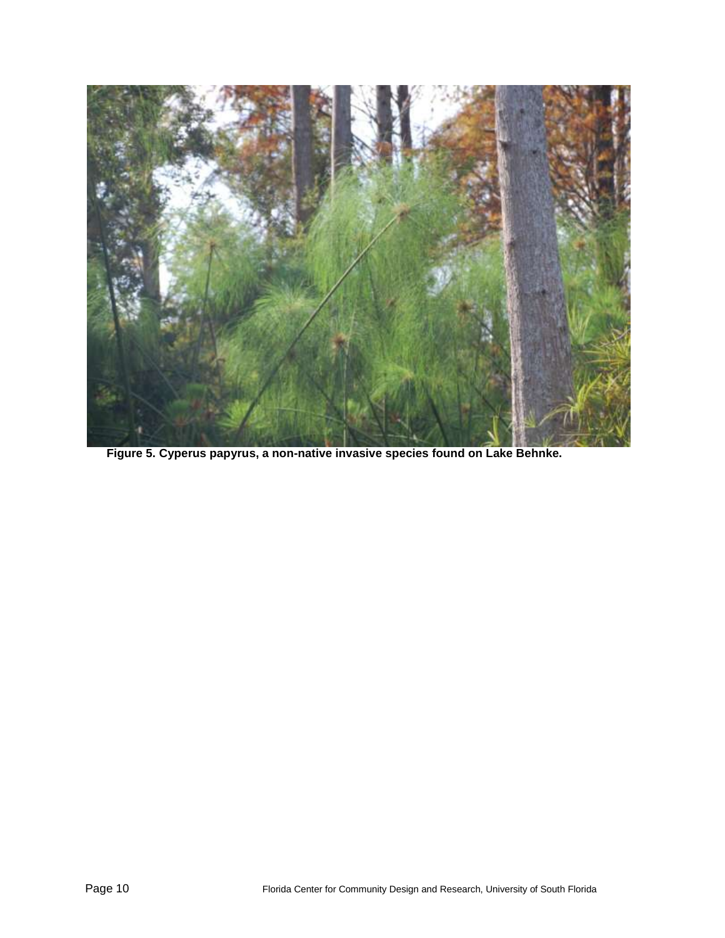

**Figure 5. Cyperus papyrus, a non-native invasive species found on Lake Behnke.**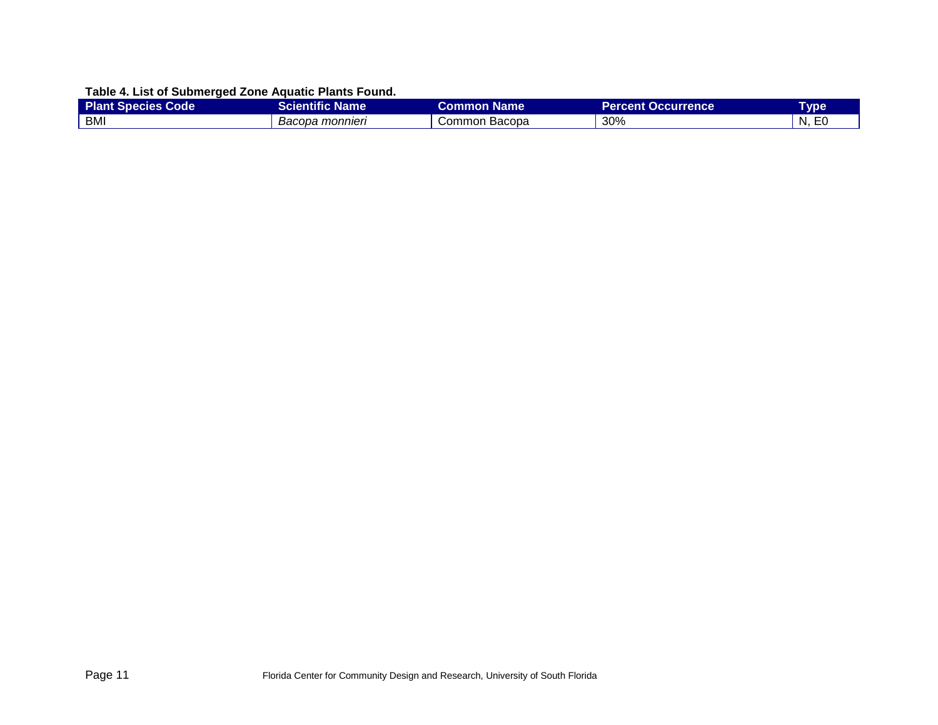## **Table 4. List of Submerged Zone Aquatic Plants Found.**

<span id="page-10-0"></span>

| <b>Plant Species Code</b> | Scientific Name. | Common Name   | <b>Percent Occurrence</b> | Гуре        |
|---------------------------|------------------|---------------|---------------------------|-------------|
| BMI                       | Bacopa monnieri  | Common Bacopa | 30%                       | N<br>∼<br>. |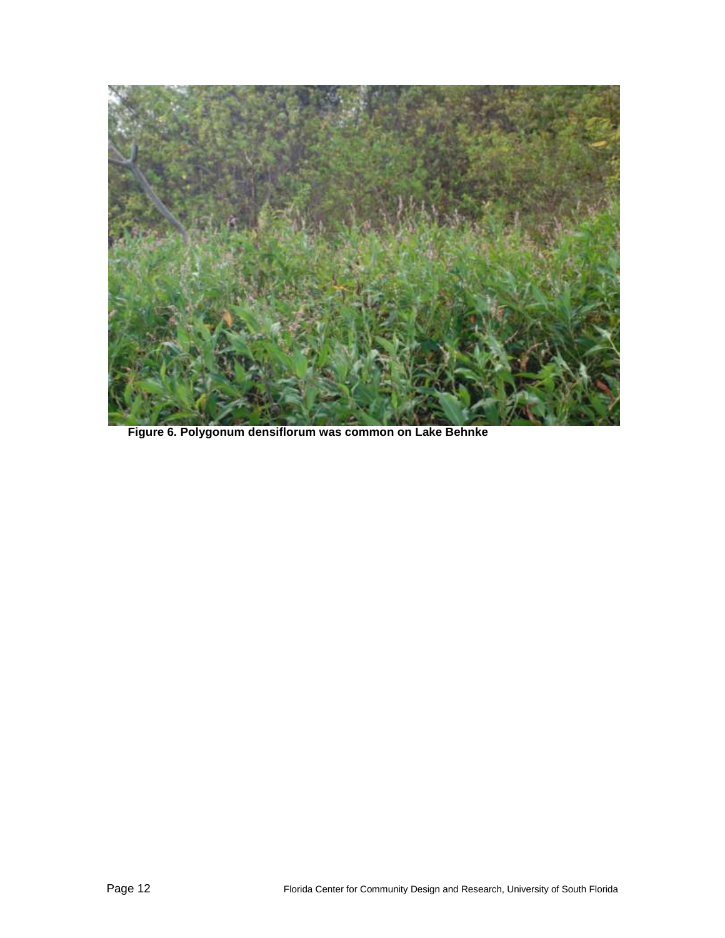

**Figure 6. Polygonum densiflorum was common on Lake Behnke**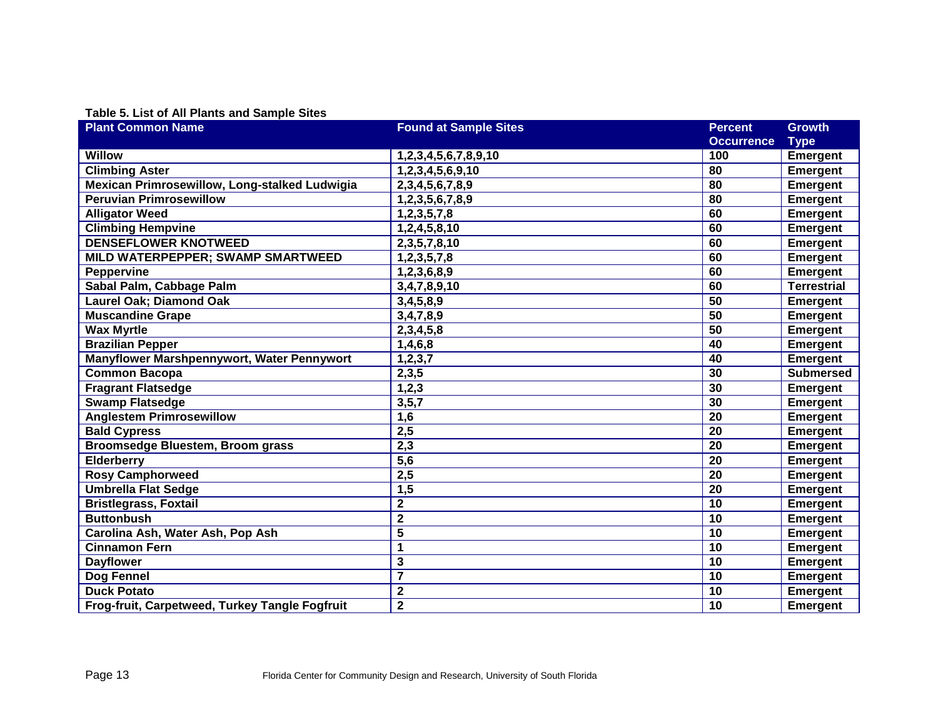#### **Table 5. List of All Plants and Sample Sites**

| <b>Plant Common Name</b>                       | <b>Found at Sample Sites</b> | <b>Percent</b>    | <b>Growth</b>      |
|------------------------------------------------|------------------------------|-------------------|--------------------|
|                                                |                              | <b>Occurrence</b> | <b>Type</b>        |
| <b>Willow</b>                                  | 1,2,3,4,5,6,7,8,9,10         | 100               | <b>Emergent</b>    |
| <b>Climbing Aster</b>                          | 1,2,3,4,5,6,9,10             | 80                | <b>Emergent</b>    |
| Mexican Primrosewillow, Long-stalked Ludwigia  | 2, 3, 4, 5, 6, 7, 8, 9       | 80                | <b>Emergent</b>    |
| <b>Peruvian Primrosewillow</b>                 | 1,2,3,5,6,7,8,9              | 80                | <b>Emergent</b>    |
| <b>Alligator Weed</b>                          | 1,2,3,5,7,8                  | 60                | <b>Emergent</b>    |
| <b>Climbing Hempvine</b>                       | 1,2,4,5,8,10                 | 60                | <b>Emergent</b>    |
| <b>DENSEFLOWER KNOTWEED</b>                    | 2,3,5,7,8,10                 | 60                | <b>Emergent</b>    |
| MILD WATERPEPPER; SWAMP SMARTWEED              | 1,2,3,5,7,8                  | 60                | <b>Emergent</b>    |
| Peppervine                                     | 1,2,3,6,8,9                  | 60                | <b>Emergent</b>    |
| Sabal Palm, Cabbage Palm                       | 3,4,7,8,9,10                 | 60                | <b>Terrestrial</b> |
| Laurel Oak; Diamond Oak                        | 3,4,5,8,9                    | 50                | <b>Emergent</b>    |
| <b>Muscandine Grape</b>                        | 3,4,7,8,9                    | 50                | <b>Emergent</b>    |
| <b>Wax Myrtle</b>                              | 2,3,4,5,8                    | 50                | <b>Emergent</b>    |
| <b>Brazilian Pepper</b>                        | 1,4,6,8                      | 40                | <b>Emergent</b>    |
| Manyflower Marshpennywort, Water Pennywort     | 1, 2, 3, 7                   | 40                | <b>Emergent</b>    |
| <b>Common Bacopa</b>                           | 2,3,5                        | 30                | <b>Submersed</b>   |
| <b>Fragrant Flatsedge</b>                      | 1, 2, 3                      | 30                | <b>Emergent</b>    |
| <b>Swamp Flatsedge</b>                         | 3, 5, 7                      | 30                | <b>Emergent</b>    |
| <b>Anglestem Primrosewillow</b>                | 1,6                          | 20                | <b>Emergent</b>    |
| <b>Bald Cypress</b>                            | 2,5                          | $\overline{20}$   | <b>Emergent</b>    |
| Broomsedge Bluestem, Broom grass               | 2,3                          | 20                | <b>Emergent</b>    |
| Elderberry                                     | 5,6                          | 20                | <b>Emergent</b>    |
| <b>Rosy Camphorweed</b>                        | 2,5                          | 20                | <b>Emergent</b>    |
| <b>Umbrella Flat Sedge</b>                     | 1,5                          | 20                | <b>Emergent</b>    |
| <b>Bristlegrass, Foxtail</b>                   | 2                            | 10                | <b>Emergent</b>    |
| <b>Buttonbush</b>                              | $\mathbf 2$                  | 10                | <b>Emergent</b>    |
| Carolina Ash, Water Ash, Pop Ash               | 5                            | 10                | <b>Emergent</b>    |
| <b>Cinnamon Fern</b>                           | 1                            | 10                | <b>Emergent</b>    |
| <b>Dayflower</b>                               | 3                            | 10                | <b>Emergent</b>    |
| Dog Fennel                                     | $\overline{7}$               | 10                | <b>Emergent</b>    |
| <b>Duck Potato</b>                             | $\overline{\mathbf{2}}$      | 10                | <b>Emergent</b>    |
| Frog-fruit, Carpetweed, Turkey Tangle Fogfruit | $\overline{\mathbf{2}}$      | 10                | <b>Emergent</b>    |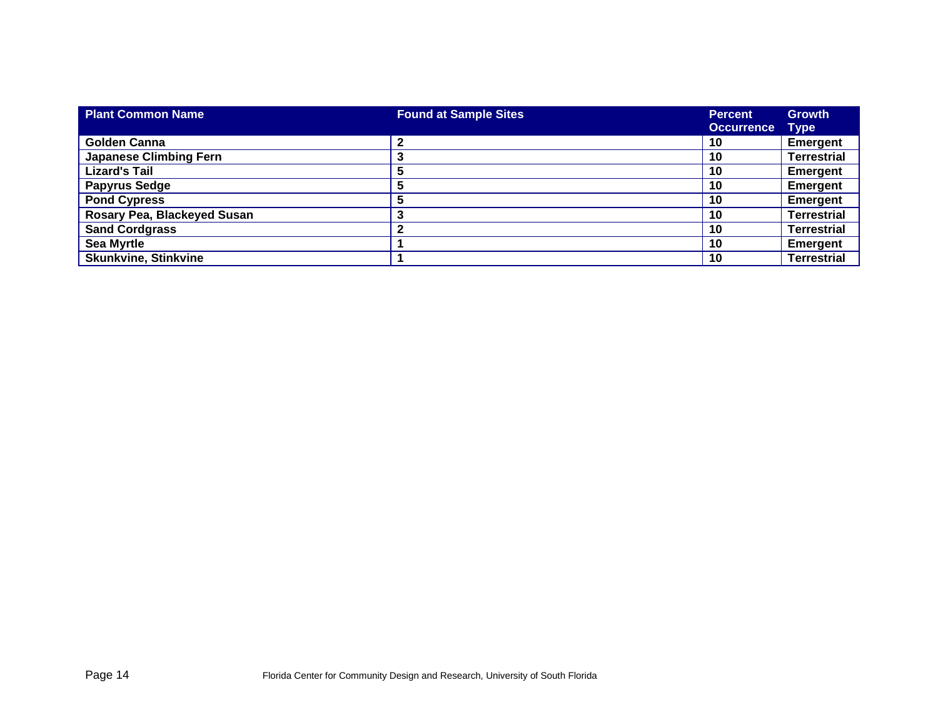| <b>Plant Common Name</b>      | <b>Found at Sample Sites</b> | <b>Percent</b> | <b>Growth</b>      |
|-------------------------------|------------------------------|----------------|--------------------|
|                               |                              | Occurrence     | <b>Type</b>        |
| Golden Canna                  | $\mathbf 2$                  | 10             | <b>Emergent</b>    |
| <b>Japanese Climbing Fern</b> |                              | 10             | <b>Terrestrial</b> |
| <b>Lizard's Tail</b>          | b                            | 10             | <b>Emergent</b>    |
| <b>Papyrus Sedge</b>          |                              | 10             | <b>Emergent</b>    |
| <b>Pond Cypress</b>           |                              | 10             | Emergent           |
| Rosary Pea, Blackeyed Susan   | 3                            | 10             | <b>Terrestrial</b> |
| <b>Sand Cordgrass</b>         | 2                            | 10             | <b>Terrestrial</b> |
| <b>Sea Myrtle</b>             |                              | 10             | <b>Emergent</b>    |
| <b>Skunkvine, Stinkvine</b>   |                              | 10             | <b>Terrestrial</b> |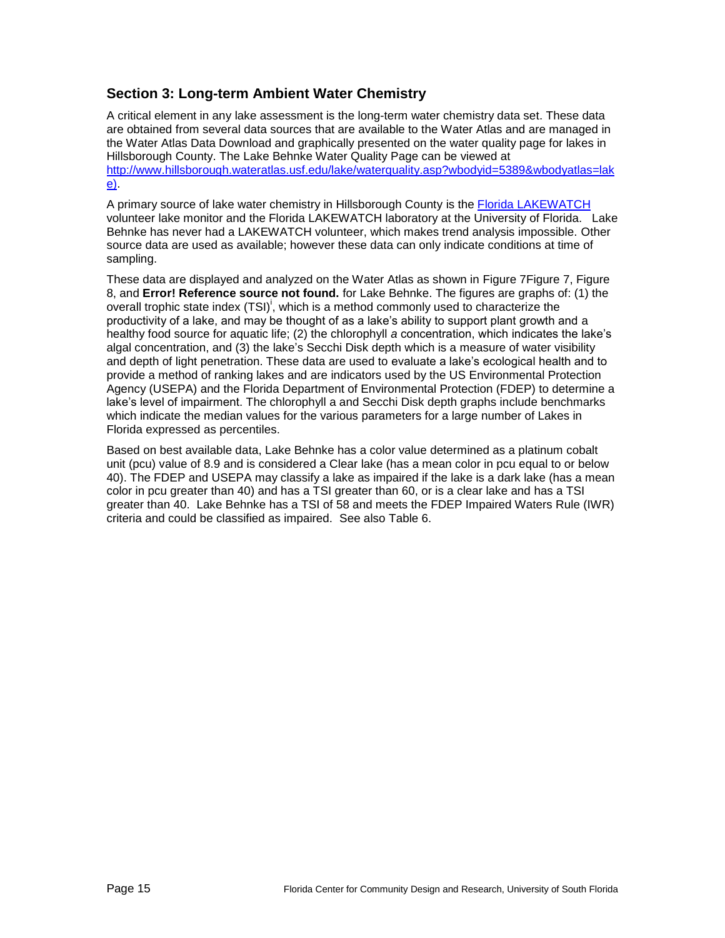## **Section 3: Long-term Ambient Water Chemistry**

A critical element in any lake assessment is the long-term water chemistry data set. These data are obtained from several data sources that are available to the Water Atlas and are managed in the Water Atlas Data Download and graphically presented on the water quality page for lakes in Hillsborough County. The Lake Behnke Water Quality Page can be viewed at [http://www.hillsborough.wateratlas.usf.edu/lake/waterquality.asp?wbodyid=5389&wbodyatlas=lak](file:///C:/Documents%20and%20Settings/Eilers/My%20Documents/Downloads/http:/www.hillsborough.wateratlas.usf.edu/lake/waterquality.asp%3fwbodyid=5389&wbodyatlas=lake) [e\)](file:///C:/Documents%20and%20Settings/Eilers/My%20Documents/Downloads/http:/www.hillsborough.wateratlas.usf.edu/lake/waterquality.asp%3fwbodyid=5389&wbodyatlas=lake).

A primary source of lake water chemistry in Hillsborough County is the [Florida LAKEWATCH](http://lakewatch.ifas.ufl.edu/) volunteer lake monitor and the Florida LAKEWATCH laboratory at the University of Florida. Lake Behnke has never had a LAKEWATCH volunteer, which makes trend analysis impossible. Other source data are used as available; however these data can only indicate conditions at time of sampling.

These data are displayed and analyzed on the Water Atlas as shown in [Figure 7Figure 7,](#page-15-0) [Figure](#page-16-0)  [8,](#page-16-0) and **Error! Reference source not found.** for Lake Behnke. The figures are graphs of: (1) the overall trophic state index  $(TSI)^i$  $(TSI)^i$  $(TSI)^i$ , which is a method commonly used to characterize the productivity of a lake, and may be thought of as a lake's ability to support plant growth and a healthy food source for aquatic life; (2) the chlorophyll *a* concentration, which indicates the lake's algal concentration, and (3) the lake's Secchi Disk depth which is a measure of water visibility and depth of light penetration. These data are used to evaluate a lake's ecological health and to provide a method of ranking lakes and are indicators used by the US Environmental Protection Agency (USEPA) and the Florida Department of Environmental Protection (FDEP) to determine a lake's level of impairment. The chlorophyll a and Secchi Disk depth graphs include benchmarks which indicate the median values for the various parameters for a large number of Lakes in Florida expressed as percentiles.

Based on best available data, Lake Behnke has a color value determined as a platinum cobalt unit (pcu) value of 8.9 and is considered a Clear lake (has a mean color in pcu equal to or below 40). The FDEP and USEPA may classify a lake as impaired if the lake is a dark lake (has a mean color in pcu greater than 40) and has a TSI greater than 60, or is a clear lake and has a TSI greater than 40. Lake Behnke has a TSI of 58 and meets the FDEP Impaired Waters Rule (IWR) criteria and could be classified as impaired. See also [Table 6.](#page-17-0)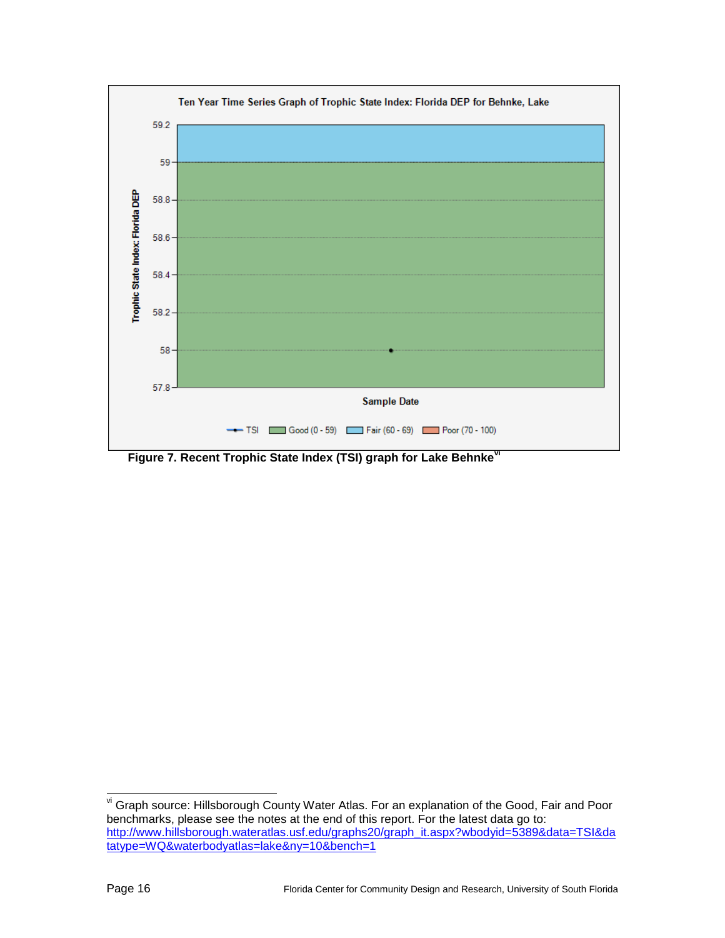

<span id="page-15-0"></span>**Figure 7. Recent Trophic State Index (TSI) graph for Lake Behnkevi**

l

vi Graph source: Hillsborough County Water Atlas. For an explanation of the Good, Fair and Poor benchmarks, please see the notes at the end of this report. For the latest data go to: [http://www.hillsborough.wateratlas.usf.edu/graphs20/graph\\_it.aspx?wbodyid=5389&data=TSI&da](http://www.hillsborough.wateratlas.usf.edu/graphs20/graph_it.aspx?wbodyid=%7bWBODY_ID%7d&data=TSI&datatype=WQ&waterbodyatlas=lake&ny=10&bench=1) [tatype=WQ&waterbodyatlas=lake&ny=10&bench=1](http://www.hillsborough.wateratlas.usf.edu/graphs20/graph_it.aspx?wbodyid=%7bWBODY_ID%7d&data=TSI&datatype=WQ&waterbodyatlas=lake&ny=10&bench=1)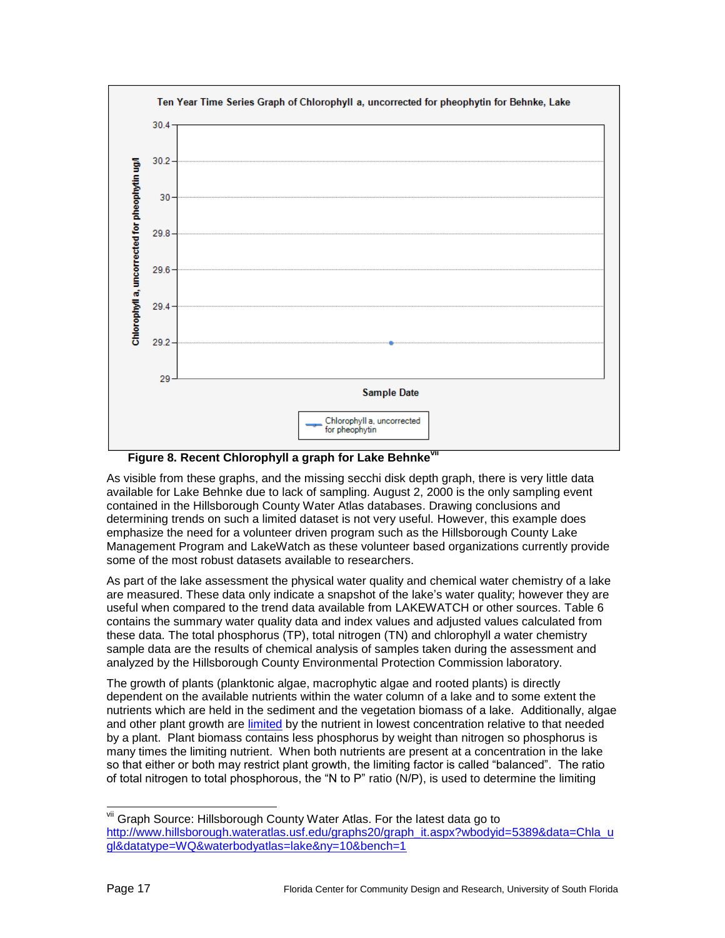

**Figure 8. Recent Chlorophyll a graph for Lake Behnke<sup>1</sup>** 

<span id="page-16-0"></span>As visible from these graphs, and the missing secchi disk depth graph, there is very little data available for Lake Behnke due to lack of sampling. August 2, 2000 is the only sampling event contained in the Hillsborough County Water Atlas databases. Drawing conclusions and determining trends on such a limited dataset is not very useful. However, this example does emphasize the need for a volunteer driven program such as the Hillsborough County Lake Management Program and LakeWatch as these volunteer based organizations currently provide some of the most robust datasets available to researchers.

As part of the lake assessment the physical water quality and chemical water chemistry of a lake are measured. These data only indicate a snapshot of the lake's water quality; however they are useful when compared to the trend data available from LAKEWATCH or other sources. [Table 6](#page-17-0) contains the summary water quality data and index values and adjusted values calculated from these data. The total phosphorus (TP), total nitrogen (TN) and chlorophyll *a* water chemistry sample data are the results of chemical analysis of samples taken during the assessment and analyzed by the Hillsborough County Environmental Protection Commission laboratory.

The growth of plants (planktonic algae, macrophytic algae and rooted plants) is directly dependent on the available nutrients within the water column of a lake and to some extent the nutrients which are held in the sediment and the vegetation biomass of a lake. Additionally, algae and other plant growth are [limited](mailto:http://plants.ifas.ufl.edu/guide/limnut.html) by the nutrient in lowest concentration relative to that needed by a plant. Plant biomass contains less phosphorus by weight than nitrogen so phosphorus is many times the limiting nutrient. When both nutrients are present at a concentration in the lake so that either or both may restrict plant growth, the limiting factor is called "balanced". The ratio of total nitrogen to total phosphorous, the "N to P" ratio (N/P), is used to determine the limiting

vii Graph Source: Hillsborough County Water Atlas. For the latest data go to [http://www.hillsborough.wateratlas.usf.edu/graphs20/graph\\_it.aspx?wbodyid=5389&data=Chla\\_u](http://www.hillsborough.wateratlas.usf.edu/graphs20/graph_it.aspx?wbodyid=%7bWBODY_ID%7d&data=Chla_ugl&datatype=WQ&waterbodyatlas=lake&ny=10&bench=1) [gl&datatype=WQ&waterbodyatlas=lake&ny=10&bench=1](http://www.hillsborough.wateratlas.usf.edu/graphs20/graph_it.aspx?wbodyid=%7bWBODY_ID%7d&data=Chla_ugl&datatype=WQ&waterbodyatlas=lake&ny=10&bench=1)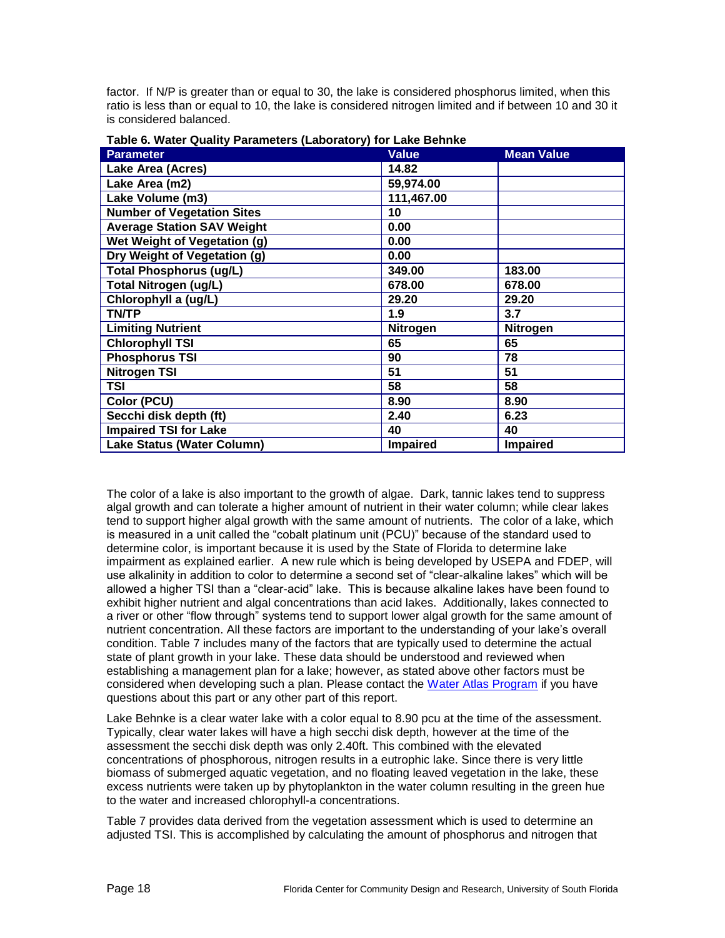factor. If N/P is greater than or equal to 30, the lake is considered phosphorus limited, when this ratio is less than or equal to 10, the lake is considered nitrogen limited and if between 10 and 30 it is considered balanced.

| <b>Parameter</b>                  | <b>Value</b>    | <b>Mean Value</b> |
|-----------------------------------|-----------------|-------------------|
| Lake Area (Acres)                 | 14.82           |                   |
| Lake Area (m2)                    | 59,974.00       |                   |
| Lake Volume (m3)                  | 111,467.00      |                   |
| <b>Number of Vegetation Sites</b> | 10              |                   |
| <b>Average Station SAV Weight</b> | 0.00            |                   |
| Wet Weight of Vegetation (g)      | 0.00            |                   |
| Dry Weight of Vegetation (g)      | 0.00            |                   |
| <b>Total Phosphorus (ug/L)</b>    | 349.00          | 183.00            |
| <b>Total Nitrogen (ug/L)</b>      | 678.00          | 678.00            |
| Chlorophyll a (ug/L)              | 29.20           | 29.20             |
| <b>TN/TP</b>                      | 1.9             | 3.7               |
| <b>Limiting Nutrient</b>          | Nitrogen        | Nitrogen          |
| <b>Chlorophyll TSI</b>            | 65              | 65                |
| <b>Phosphorus TSI</b>             | 90              | 78                |
| <b>Nitrogen TSI</b>               | 51              | 51                |
| TSI                               | 58              | 58                |
| Color (PCU)                       | 8.90            | 8.90              |
| Secchi disk depth (ft)            | 2.40            | 6.23              |
| <b>Impaired TSI for Lake</b>      | 40              | 40                |
| Lake Status (Water Column)        | <b>Impaired</b> | Impaired          |

<span id="page-17-0"></span>**Table 6. Water Quality Parameters (Laboratory) for Lake Behnke**

The color of a lake is also important to the growth of algae. Dark, tannic lakes tend to suppress algal growth and can tolerate a higher amount of nutrient in their water column; while clear lakes tend to support higher algal growth with the same amount of nutrients. The color of a lake, which is measured in a unit called the "cobalt platinum unit (PCU)" because of the standard used to determine color, is important because it is used by the State of Florida to determine lake impairment as explained earlier. A new rule which is being developed by USEPA and FDEP, will use alkalinity in addition to color to determine a second set of "clear-alkaline lakes" which will be allowed a higher TSI than a "clear-acid" lake. This is because alkaline lakes have been found to exhibit higher nutrient and algal concentrations than acid lakes. Additionally, lakes connected to a river or other "flow through" systems tend to support lower algal growth for the same amount of nutrient concentration. All these factors are important to the understanding of your lake's overall condition. Table 7 includes many of the factors that are typically used to determine the actual state of plant growth in your lake. These data should be understood and reviewed when establishing a management plan for a lake; however, as stated above other factors must be considered when developing such a plan. Please contact the [Water Atlas Program](mailto:griffin@arch.usf.edu) if you have questions about this part or any other part of this report.

Lake Behnke is a clear water lake with a color equal to 8.90 pcu at the time of the assessment. Typically, clear water lakes will have a high secchi disk depth, however at the time of the assessment the secchi disk depth was only 2.40ft. This combined with the elevated concentrations of phosphorous, nitrogen results in a eutrophic lake. Since there is very little biomass of submerged aquatic vegetation, and no floating leaved vegetation in the lake, these excess nutrients were taken up by phytoplankton in the water column resulting in the green hue to the water and increased chlorophyll-a concentrations.

[Table 7](#page-18-0) provides data derived from the vegetation assessment which is used to determine an adjusted TSI. This is accomplished by calculating the amount of phosphorus and nitrogen that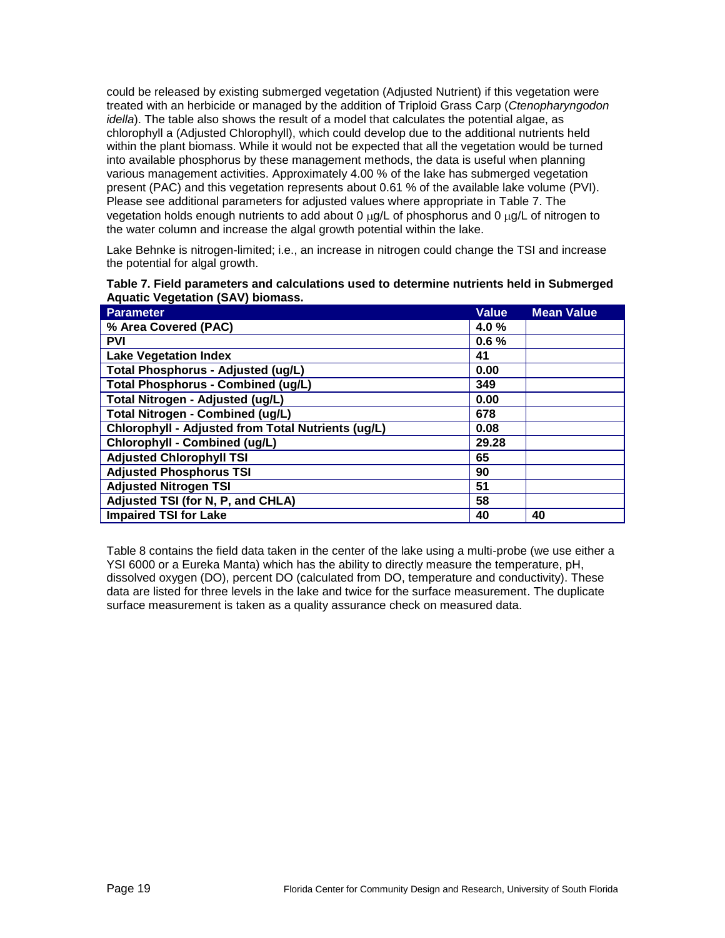could be released by existing submerged vegetation (Adjusted Nutrient) if this vegetation were treated with an herbicide or managed by the addition of Triploid Grass Carp (*Ctenopharyngodon idella*). The table also shows the result of a model that calculates the potential algae, as chlorophyll a (Adjusted Chlorophyll), which could develop due to the additional nutrients held within the plant biomass. While it would not be expected that all the vegetation would be turned into available phosphorus by these management methods, the data is useful when planning various management activities. Approximately 4.00 % of the lake has submerged vegetation present (PAC) and this vegetation represents about 0.61 % of the available lake volume (PVI). Please see additional parameters for adjusted values where appropriate in [Table 7.](#page-18-0) The vegetation holds enough nutrients to add about  $0 \mu g/L$  of phosphorus and  $0 \mu g/L$  of nitrogen to the water column and increase the algal growth potential within the lake.

Lake Behnke is nitrogen-limited; i.e., an increase in nitrogen could change the TSI and increase the potential for algal growth.

<span id="page-18-0"></span>

|                                          | Table 7. Field parameters and calculations used to determine nutrients held in Submerged |
|------------------------------------------|------------------------------------------------------------------------------------------|
| <b>Aquatic Vegetation (SAV) biomass.</b> |                                                                                          |

| <b>Parameter</b>                                   | <b>Value</b> | <b>Mean Value</b> |
|----------------------------------------------------|--------------|-------------------|
| % Area Covered (PAC)                               | 4.0%         |                   |
| <b>PVI</b>                                         | 0.6%         |                   |
| <b>Lake Vegetation Index</b>                       | 41           |                   |
| <b>Total Phosphorus - Adjusted (ug/L)</b>          | 0.00         |                   |
| <b>Total Phosphorus - Combined (ug/L)</b>          | 349          |                   |
| Total Nitrogen - Adjusted (ug/L)                   | 0.00         |                   |
| <b>Total Nitrogen - Combined (ug/L)</b>            | 678          |                   |
| Chlorophyll - Adjusted from Total Nutrients (ug/L) | 0.08         |                   |
| Chlorophyll - Combined (ug/L)                      | 29.28        |                   |
| <b>Adjusted Chlorophyll TSI</b>                    | 65           |                   |
| <b>Adjusted Phosphorus TSI</b>                     | 90           |                   |
| <b>Adjusted Nitrogen TSI</b>                       | 51           |                   |
| Adjusted TSI (for N, P, and CHLA)                  | 58           |                   |
| <b>Impaired TSI for Lake</b>                       | 40           | 40                |

[Table 8](#page-19-0) contains the field data taken in the center of the lake using a multi-probe (we use either a YSI 6000 or a Eureka Manta) which has the ability to directly measure the temperature, pH, dissolved oxygen (DO), percent DO (calculated from DO, temperature and conductivity). These data are listed for three levels in the lake and twice for the surface measurement. The duplicate surface measurement is taken as a quality assurance check on measured data.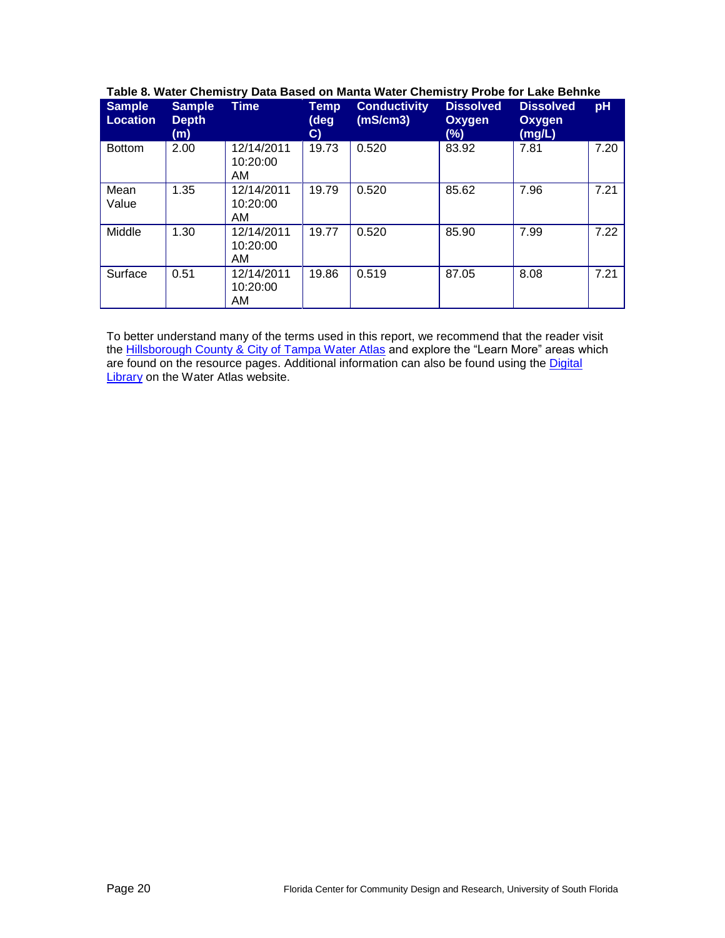| <b>Sample</b><br><b>Location</b> | <b>Sample</b><br><b>Depth</b><br>(m) | <b>Time</b>                  | Temp<br>(deg<br>$\mathbf{C}$ | <b>Conductivity</b><br>(mS/cm3) | <b>Dissolved</b><br>Oxygen<br>$(\%)$ | <b>Dissolved</b><br>Oxygen<br>(mg/L) | pH   |
|----------------------------------|--------------------------------------|------------------------------|------------------------------|---------------------------------|--------------------------------------|--------------------------------------|------|
| <b>Bottom</b>                    | 2.00                                 | 12/14/2011<br>10:20:00<br>AM | 19.73                        | 0.520                           | 83.92                                | 7.81                                 | 7.20 |
| Mean<br>Value                    | 1.35                                 | 12/14/2011<br>10:20:00<br>AM | 19.79                        | 0.520                           | 85.62                                | 7.96                                 | 7.21 |
| Middle                           | 1.30                                 | 12/14/2011<br>10:20:00<br>AM | 19.77                        | 0.520                           | 85.90                                | 7.99                                 | 7.22 |
| Surface                          | 0.51                                 | 12/14/2011<br>10:20:00<br>AM | 19.86                        | 0.519                           | 87.05                                | 8.08                                 | 7.21 |

#### <span id="page-19-0"></span>**Table 8. Water Chemistry Data Based on Manta Water Chemistry Probe for Lake Behnke**

To better understand many of the terms used in this report, we recommend that the reader visit the [Hillsborough County & City of Tampa Water Atlas](http://www.hillsborough.wateratlas.usf.edu/topics.aspx#quality) and explore the "Learn More" areas which are found on the resource pages. Additional information can also be found using the Digital **[Library](http://www.hillsborough.wateratlas.usf.edu/digitallibrary/)** on the Water Atlas website.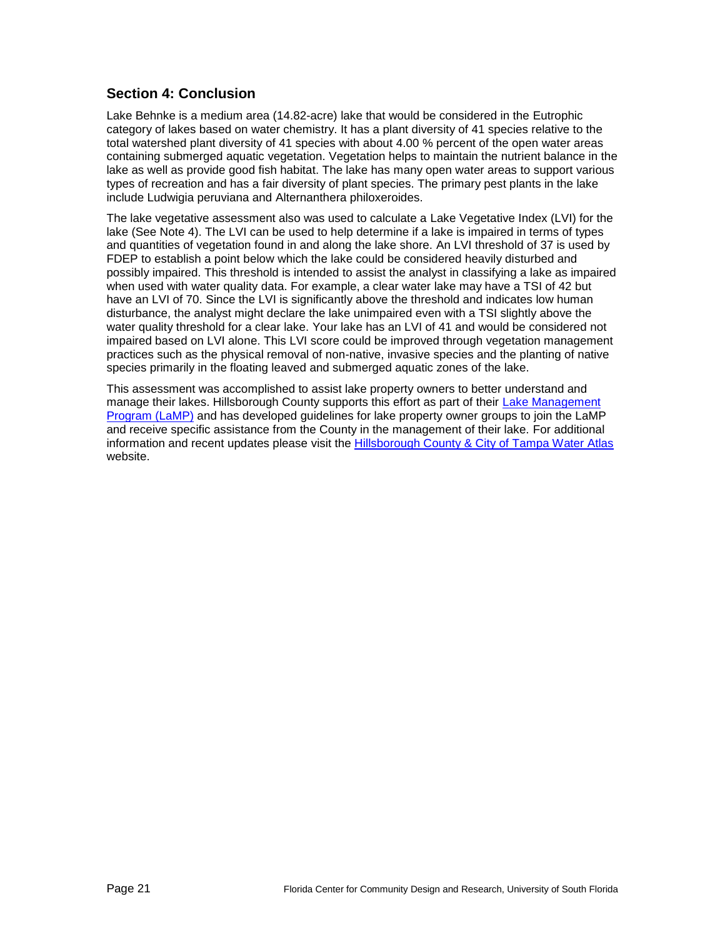## **Section 4: Conclusion**

Lake Behnke is a medium area (14.82-acre) lake that would be considered in the Eutrophic category of lakes based on water chemistry. It has a plant diversity of 41 species relative to the total watershed plant diversity of 41 species with about 4.00 % percent of the open water areas containing submerged aquatic vegetation. Vegetation helps to maintain the nutrient balance in the lake as well as provide good fish habitat. The lake has many open water areas to support various types of recreation and has a fair diversity of plant species. The primary pest plants in the lake include Ludwigia peruviana and Alternanthera philoxeroides.

The lake vegetative assessment also was used to calculate a Lake Vegetative Index (LVI) for the lake (See Note 4). The LVI can be used to help determine if a lake is impaired in terms of types and quantities of vegetation found in and along the lake shore. An LVI threshold of 37 is used by FDEP to establish a point below which the lake could be considered heavily disturbed and possibly impaired. This threshold is intended to assist the analyst in classifying a lake as impaired when used with water quality data. For example, a clear water lake may have a TSI of 42 but have an LVI of 70. Since the LVI is significantly above the threshold and indicates low human disturbance, the analyst might declare the lake unimpaired even with a TSI slightly above the water quality threshold for a clear lake. Your lake has an LVI of 41 and would be considered not impaired based on LVI alone. This LVI score could be improved through vegetation management practices such as the physical removal of non-native, invasive species and the planting of native species primarily in the floating leaved and submerged aquatic zones of the lake.

This assessment was accomplished to assist lake property owners to better understand and manage their lakes. Hillsborough County supports this effort as part of their [Lake Management](http://www.hillsborough.wateratlas.usf.edu/LakeManagement/)  [Program \(LaMP\)](http://www.hillsborough.wateratlas.usf.edu/LakeManagement/) and has developed guidelines for lake property owner groups to join the LaMP and receive specific assistance from the County in the management of their lake. For additional information and recent updates please visit the [Hillsborough County & City of Tampa Water Atlas](http://www.hillsborough.wateratlas.usf.edu/LakeManagement/) website.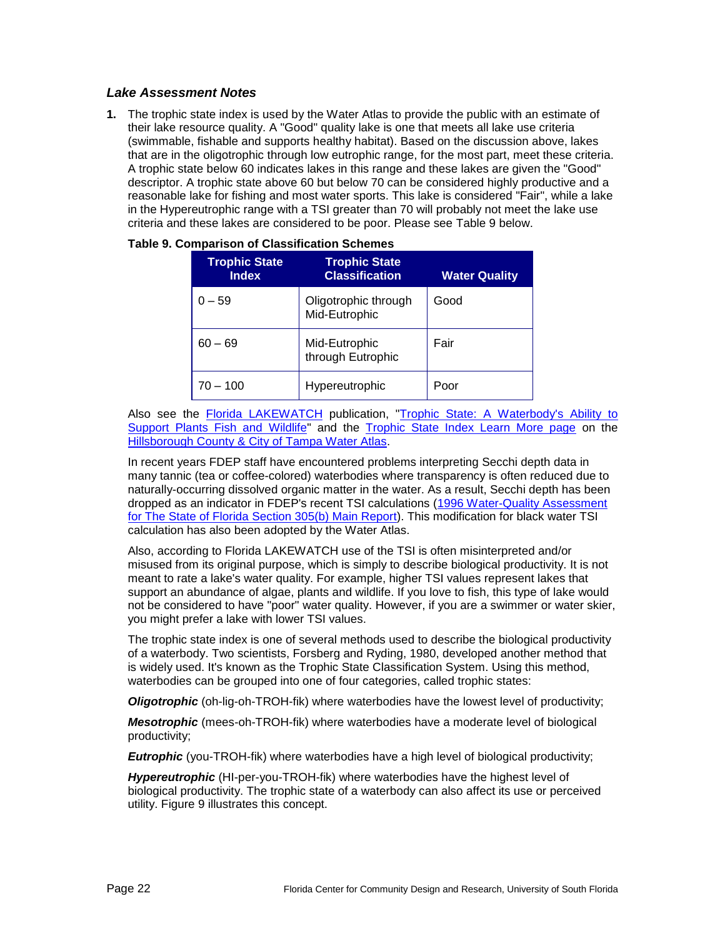#### *Lake Assessment Notes*

**1.** The trophic state index is used by the Water Atlas to provide the public with an estimate of their lake resource quality. A "Good" quality lake is one that meets all lake use criteria (swimmable, fishable and supports healthy habitat). Based on the discussion above, lakes that are in the oligotrophic through low eutrophic range, for the most part, meet these criteria. A trophic state below 60 indicates lakes in this range and these lakes are given the "Good" descriptor. A trophic state above 60 but below 70 can be considered highly productive and a reasonable lake for fishing and most water sports. This lake is considered "Fair", while a lake in the Hypereutrophic range with a TSI greater than 70 will probably not meet the lake use criteria and these lakes are considered to be poor. Please see [Table 9](#page-21-0) below.

| <b>Trophic State</b><br><b>Index</b> | <b>Trophic State</b><br><b>Classification</b> | <b>Water Quality</b> |
|--------------------------------------|-----------------------------------------------|----------------------|
| $0 - 59$                             | Oligotrophic through<br>Mid-Eutrophic         | Good                 |
| $60 - 69$                            | Mid-Eutrophic<br>through Eutrophic            | Fair                 |
| $70 - 100$                           | Hypereutrophic                                | Poor                 |

<span id="page-21-0"></span>

| Table 9. Comparison of Classification Schemes |  |
|-----------------------------------------------|--|
|-----------------------------------------------|--|

Also see the [Florida LAKEWATCH](http://lakewatch.ifas.ufl.edu/) publication, "Trophic State: A Waterbody's Ability to [Support Plants Fish and Wildlife"](http://lakewatch.ifas.ufl.edu/LWcirc.html) and the [Trophic State Index Learn More page](http://www.hillsborough.wateratlas.usf.edu/shared/learnmore.asp?toolsection=lm_tsi) on the [Hillsborough County & City of Tampa Water Atlas.](http://www.hillsborough.wateratlas.usf.edu/)

In recent years FDEP staff have encountered problems interpreting Secchi depth data in many tannic (tea or coffee-colored) waterbodies where transparency is often reduced due to naturally-occurring dissolved organic matter in the water. As a result, Secchi depth has been dropped as an indicator in FDEP's recent TSI calculations [\(1996 Water-Quality Assessment](http://www.seminole.wateratlas.usf.edu/upload/documents/1996%20Water-Quality%20Assessment%20for%20the%20State%20of%20Florida%20Section%20305(b)%20Main%20Report.pdf)  [for The State of Florida Section 305\(b\) Main Report\)](http://www.seminole.wateratlas.usf.edu/upload/documents/1996%20Water-Quality%20Assessment%20for%20the%20State%20of%20Florida%20Section%20305(b)%20Main%20Report.pdf). This modification for black water TSI calculation has also been adopted by the Water Atlas.

Also, according to Florida LAKEWATCH use of the TSI is often misinterpreted and/or misused from its original purpose, which is simply to describe biological productivity. It is not meant to rate a lake's water quality. For example, higher TSI values represent lakes that support an abundance of algae, plants and wildlife. If you love to fish, this type of lake would not be considered to have "poor" water quality. However, if you are a swimmer or water skier, you might prefer a lake with lower TSI values.

The trophic state index is one of several methods used to describe the biological productivity of a waterbody. Two scientists, Forsberg and Ryding, 1980, developed another method that is widely used. It's known as the Trophic State Classification System. Using this method, waterbodies can be grouped into one of four categories, called trophic states:

*Oligotrophic* (oh-lig-oh-TROH-fik) where waterbodies have the lowest level of productivity;

*Mesotrophic* (mees-oh-TROH-fik) where waterbodies have a moderate level of biological productivity;

*Eutrophic* (you-TROH-fik) where waterbodies have a high level of biological productivity;

*Hypereutrophic* (HI-per-you-TROH-fik) where waterbodies have the highest level of biological productivity. The trophic state of a waterbody can also affect its use or perceived utility. [Figure 9](#page-22-0) illustrates this concept.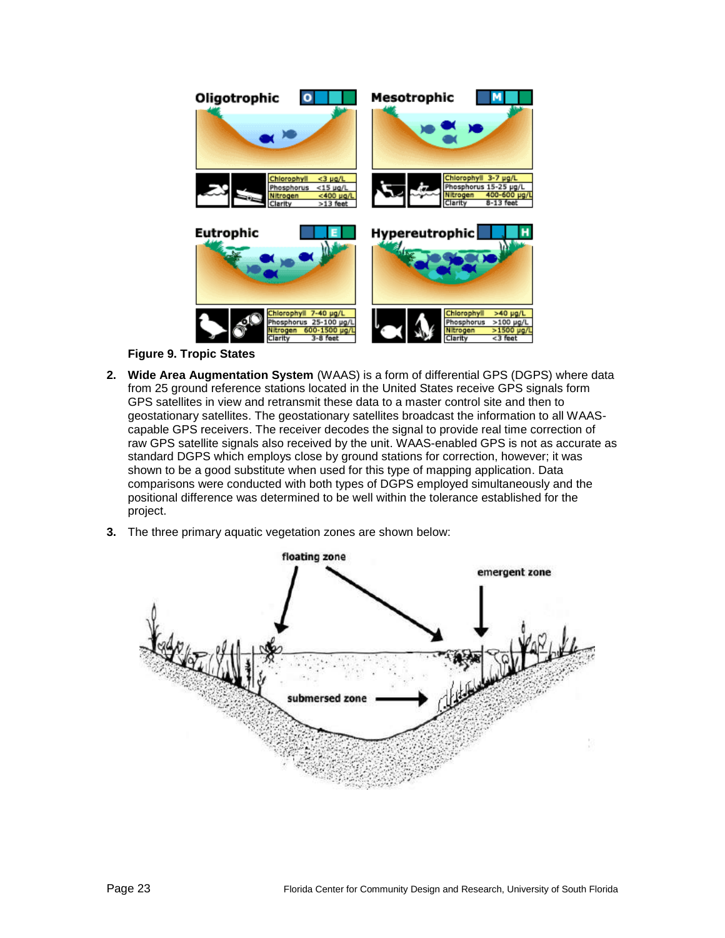

**Figure 9. Tropic States**

- <span id="page-22-0"></span>**2. Wide Area Augmentation System** (WAAS) is a form of differential GPS (DGPS) where data from 25 ground reference stations located in the United States receive GPS signals form GPS satellites in view and retransmit these data to a master control site and then to geostationary satellites. The geostationary satellites broadcast the information to all WAAScapable GPS receivers. The receiver decodes the signal to provide real time correction of raw GPS satellite signals also received by the unit. WAAS-enabled GPS is not as accurate as standard DGPS which employs close by ground stations for correction, however; it was shown to be a good substitute when used for this type of mapping application. Data comparisons were conducted with both types of DGPS employed simultaneously and the positional difference was determined to be well within the tolerance established for the project.
- **3.** The three primary aquatic vegetation zones are shown below:

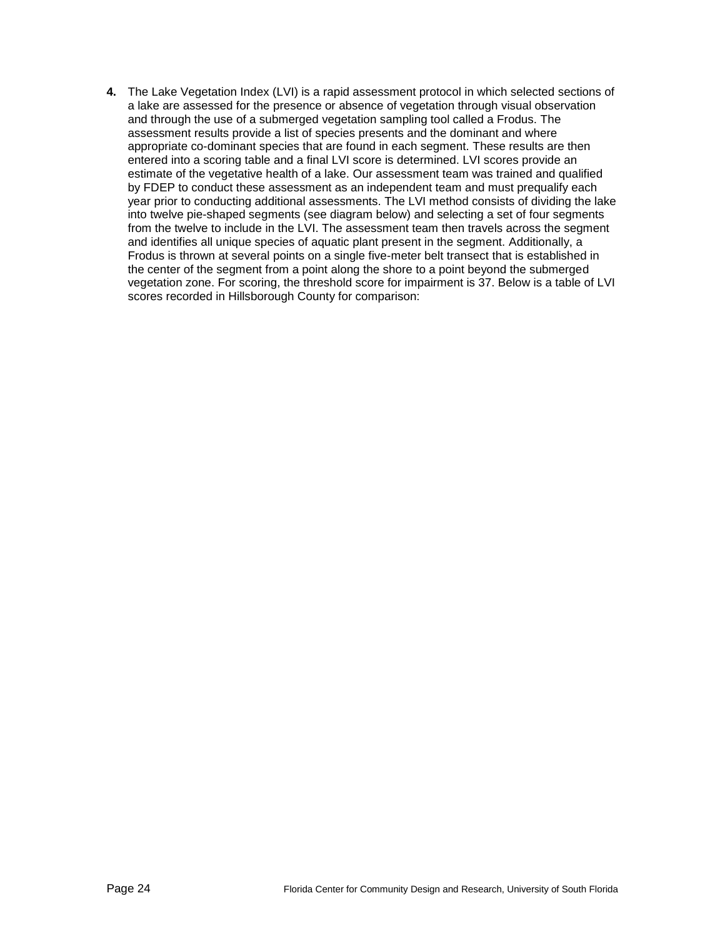**4.** The Lake Vegetation Index (LVI) is a rapid assessment protocol in which selected sections of a lake are assessed for the presence or absence of vegetation through visual observation and through the use of a submerged vegetation sampling tool called a Frodus. The assessment results provide a list of species presents and the dominant and where appropriate co-dominant species that are found in each segment. These results are then entered into a scoring table and a final LVI score is determined. LVI scores provide an estimate of the vegetative health of a lake. Our assessment team was trained and qualified by FDEP to conduct these assessment as an independent team and must prequalify each year prior to conducting additional assessments. The LVI method consists of dividing the lake into twelve pie-shaped segments (see diagram below) and selecting a set of four segments from the twelve to include in the LVI. The assessment team then travels across the segment and identifies all unique species of aquatic plant present in the segment. Additionally, a Frodus is thrown at several points on a single five-meter belt transect that is established in the center of the segment from a point along the shore to a point beyond the submerged vegetation zone. For scoring, the threshold score for impairment is 37. Below is a table of LVI scores recorded in Hillsborough County for comparison: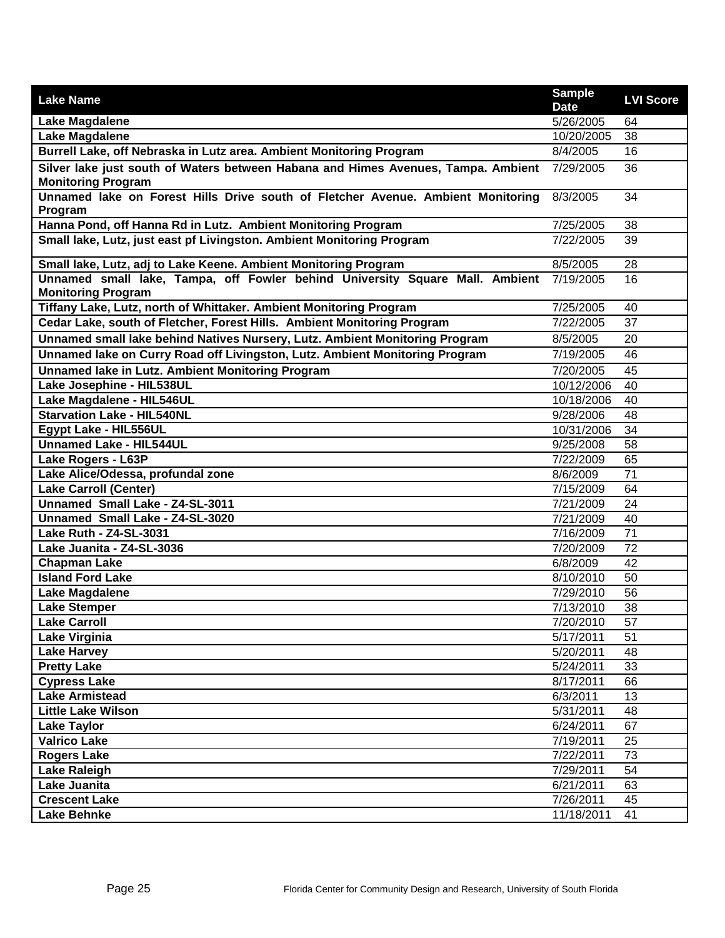| <b>Lake Name</b>                                                                                                         | <b>Sample</b><br><b>Date</b> | <b>LVI Score</b> |
|--------------------------------------------------------------------------------------------------------------------------|------------------------------|------------------|
| Lake Magdalene                                                                                                           | 5/26/2005                    | 64               |
| <b>Lake Magdalene</b>                                                                                                    | 10/20/2005                   | 38               |
| Burrell Lake, off Nebraska in Lutz area. Ambient Monitoring Program                                                      | 8/4/2005                     | 16               |
| Silver lake just south of Waters between Habana and Himes Avenues, Tampa. Ambient 7/29/2005<br><b>Monitoring Program</b> |                              | 36               |
| Unnamed lake on Forest Hills Drive south of Fletcher Avenue. Ambient Monitoring<br>Program                               | 8/3/2005                     | 34               |
| Hanna Pond, off Hanna Rd in Lutz. Ambient Monitoring Program                                                             | 7/25/2005                    | 38               |
| Small lake, Lutz, just east pf Livingston. Ambient Monitoring Program                                                    | 7/22/2005                    | 39               |
| Small lake, Lutz, adj to Lake Keene. Ambient Monitoring Program                                                          | 8/5/2005                     | 28               |
| Unnamed small lake, Tampa, off Fowler behind University Square Mall. Ambient 7/19/2005<br><b>Monitoring Program</b>      |                              | 16               |
| Tiffany Lake, Lutz, north of Whittaker. Ambient Monitoring Program                                                       | 7/25/2005                    | 40               |
| Cedar Lake, south of Fletcher, Forest Hills. Ambient Monitoring Program                                                  | 7/22/2005                    | 37               |
| Unnamed small lake behind Natives Nursery, Lutz. Ambient Monitoring Program                                              | 8/5/2005                     | 20               |
| Unnamed lake on Curry Road off Livingston, Lutz. Ambient Monitoring Program                                              | 7/19/2005                    | 46               |
| <b>Unnamed lake in Lutz. Ambient Monitoring Program</b>                                                                  | 7/20/2005                    | 45               |
| Lake Josephine - HIL538UL                                                                                                | 10/12/2006                   | 40               |
| Lake Magdalene - HIL546UL                                                                                                | 10/18/2006                   | 40               |
| <b>Starvation Lake - HIL540NL</b>                                                                                        | 9/28/2006                    | 48               |
| Egypt Lake - HIL556UL                                                                                                    | 10/31/2006                   | 34               |
| <b>Unnamed Lake - HIL544UL</b>                                                                                           | 9/25/2008                    | 58               |
| Lake Rogers - L63P                                                                                                       | 7/22/2009                    | 65               |
| Lake Alice/Odessa, profundal zone                                                                                        | 8/6/2009                     | $\overline{71}$  |
| <b>Lake Carroll (Center)</b>                                                                                             | 7/15/2009                    | 64               |
| Unnamed Small Lake - Z4-SL-3011                                                                                          | 7/21/2009                    | 24               |
| Unnamed Small Lake - Z4-SL-3020                                                                                          | 7/21/2009                    | 40               |
| Lake Ruth - Z4-SL-3031                                                                                                   | 7/16/2009                    | 71               |
| Lake Juanita - Z4-SL-3036                                                                                                | 7/20/2009                    | 72               |
| <b>Chapman Lake</b>                                                                                                      | 6/8/2009                     | 42               |
| <b>Island Ford Lake</b>                                                                                                  | 8/10/2010                    | 50               |
| Lake Magdalene                                                                                                           | 7/29/2010                    | 56               |
| <b>Lake Stemper</b>                                                                                                      | 7/13/2010                    | 38               |
| <b>Lake Carroll</b>                                                                                                      | 7/20/2010                    | 57               |
| <b>Lake Virginia</b>                                                                                                     | 5/17/2011                    | 51               |
| <b>Lake Harvey</b>                                                                                                       | 5/20/2011                    | 48               |
| <b>Pretty Lake</b>                                                                                                       | 5/24/2011                    | 33               |
| <b>Cypress Lake</b>                                                                                                      | 8/17/2011                    | 66               |
| <b>Lake Armistead</b>                                                                                                    | 6/3/2011                     | 13               |
| <b>Little Lake Wilson</b>                                                                                                | 5/31/2011                    | 48               |
| <b>Lake Taylor</b>                                                                                                       | 6/24/2011                    | 67               |
| <b>Valrico Lake</b>                                                                                                      | 7/19/2011                    | 25               |
| <b>Rogers Lake</b>                                                                                                       | 7/22/2011                    | 73               |
| <b>Lake Raleigh</b>                                                                                                      | 7/29/2011                    | 54               |
| Lake Juanita                                                                                                             | 6/21/2011                    | 63               |
| <b>Crescent Lake</b>                                                                                                     | 7/26/2011                    | 45               |
| <b>Lake Behnke</b>                                                                                                       | 11/18/2011                   | 41               |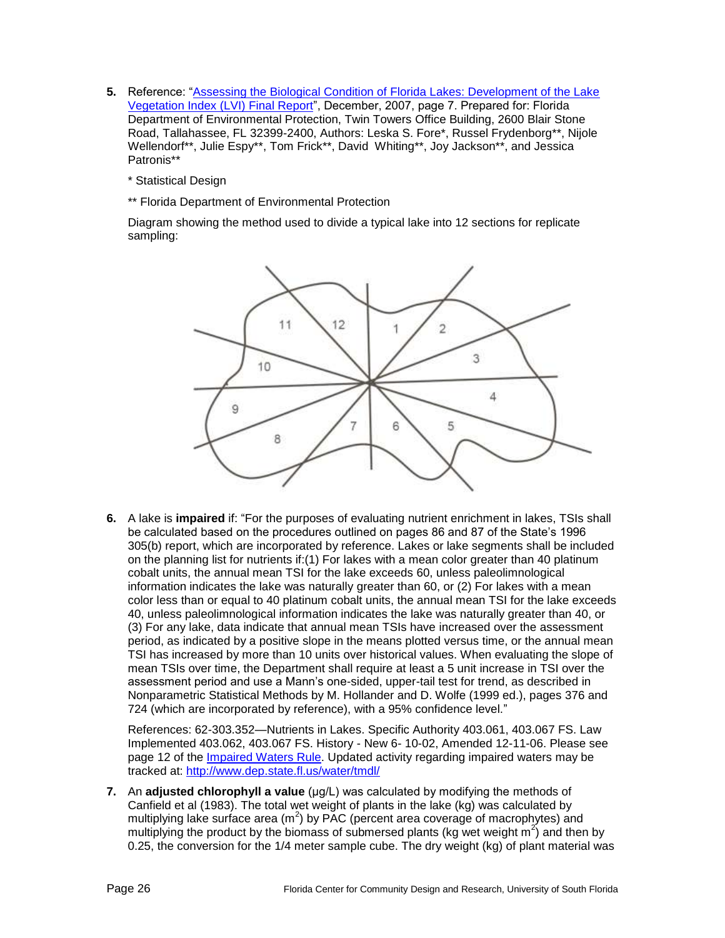- **5.** Reference: "Assessing the Biological Condition of Florida Lakes: Development of the Lake [Vegetation Index \(LVI\) Final Report"](http://publicfiles.dep.state.fl.us/dear/labs/sas/sopdoc/lvi_final05.pdf), December, 2007, page 7. Prepared for: Florida Department of Environmental Protection, Twin Towers Office Building, 2600 Blair Stone Road, Tallahassee, FL 32399-2400, Authors: Leska S. Fore\*, Russel Frydenborg\*\*, Nijole Wellendorf\*\*, Julie Espy\*\*, Tom Frick\*\*, David Whiting\*\*, Joy Jackson\*\*, and Jessica Patronis\*\*
	- \* Statistical Design
	- \*\* Florida Department of Environmental Protection

Diagram showing the method used to divide a typical lake into 12 sections for replicate sampling:



**6.** A lake is **impaired** if: "For the purposes of evaluating nutrient enrichment in lakes, TSIs shall be calculated based on the procedures outlined on pages 86 and 87 of the State's 1996 305(b) report, which are incorporated by reference. Lakes or lake segments shall be included on the planning list for nutrients if:(1) For lakes with a mean color greater than 40 platinum cobalt units, the annual mean TSI for the lake exceeds 60, unless paleolimnological information indicates the lake was naturally greater than 60, or (2) For lakes with a mean color less than or equal to 40 platinum cobalt units, the annual mean TSI for the lake exceeds 40, unless paleolimnological information indicates the lake was naturally greater than 40, or (3) For any lake, data indicate that annual mean TSIs have increased over the assessment period, as indicated by a positive slope in the means plotted versus time, or the annual mean TSI has increased by more than 10 units over historical values. When evaluating the slope of mean TSIs over time, the Department shall require at least a 5 unit increase in TSI over the assessment period and use a Mann's one-sided, upper-tail test for trend, as described in Nonparametric Statistical Methods by M. Hollander and D. Wolfe (1999 ed.), pages 376 and 724 (which are incorporated by reference), with a 95% confidence level."

References: 62-303.352—Nutrients in Lakes. Specific Authority 403.061, 403.067 FS. Law Implemented 403.062, 403.067 FS. History - New 6- 10-02, Amended 12-11-06. Please see page 12 of the [Impaired Waters Rule.](http://www.dep.state.fl.us/legal/Rules/shared/62-303/62-303.pdf) Updated activity regarding impaired waters may be tracked at: <http://www.dep.state.fl.us/water/tmdl/>

**7.** An **adjusted chlorophyll a value** (μg/L) was calculated by modifying the methods of Canfield et al (1983). The total wet weight of plants in the lake (kg) was calculated by multiplying lake surface area (m<sup>2</sup>) by PAC (percent area coverage of macrophytes) and multiplying the product by the biomass of submersed plants (kg wet weight  $m^2$ ) and then by 0.25, the conversion for the 1/4 meter sample cube. The dry weight (kg) of plant material was